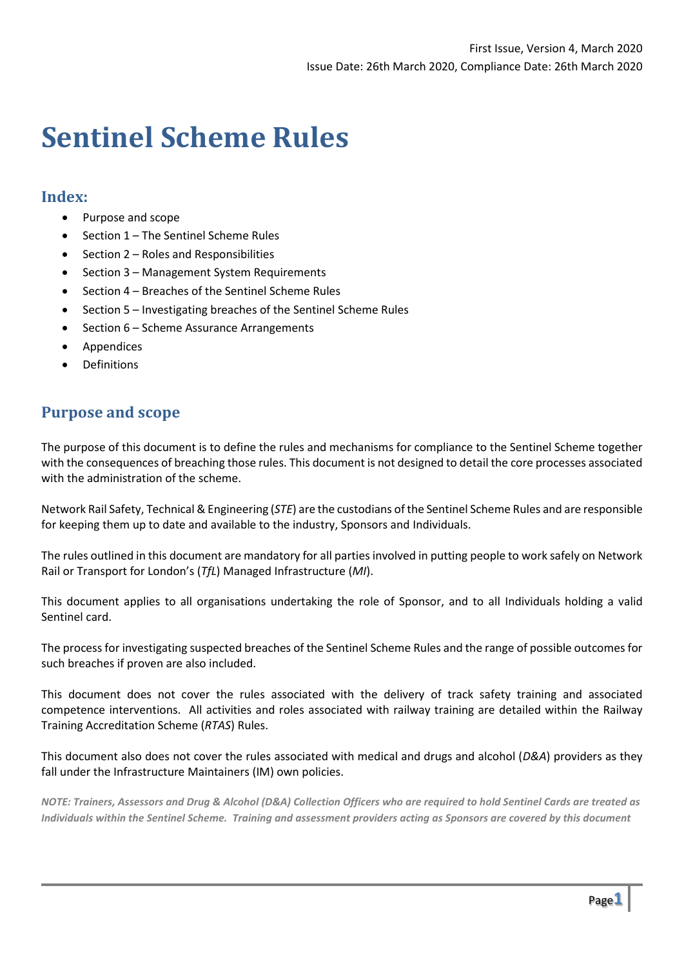# **Sentinel Scheme Rules**

#### **Index:**

- Purpose and scope
- Section 1 The Sentinel Scheme Rules
- Section 2 Roles and Responsibilities
- Section 3 Management System Requirements
- Section 4 Breaches of the Sentinel Scheme Rules
- Section 5 Investigating breaches of the Sentinel Scheme Rules
- Section 6 Scheme Assurance Arrangements
- **Appendices**
- **Definitions**

# **Purpose and scope**

The purpose of this document is to define the rules and mechanisms for compliance to the Sentinel Scheme together with the consequences of breaching those rules. This document is not designed to detail the core processes associated with the administration of the scheme.

Network Rail Safety, Technical & Engineering (*STE*) are the custodians of the Sentinel Scheme Rules and are responsible for keeping them up to date and available to the industry, Sponsors and Individuals.

The rules outlined in this document are mandatory for all parties involved in putting people to work safely on Network Rail or Transport for London's (*TfL*) Managed Infrastructure (*MI*).

This document applies to all organisations undertaking the role of Sponsor, and to all Individuals holding a valid Sentinel card.

The process for investigating suspected breaches of the Sentinel Scheme Rules and the range of possible outcomes for such breaches if proven are also included.

This document does not cover the rules associated with the delivery of track safety training and associated competence interventions. All activities and roles associated with railway training are detailed within the Railway Training Accreditation Scheme (*RTAS*) Rules.

This document also does not cover the rules associated with medical and drugs and alcohol (*D&A*) providers as they fall under the Infrastructure Maintainers (IM) own policies.

*NOTE: Trainers, Assessors and Drug & Alcohol (D&A) Collection Officers who are required to hold Sentinel Cards are treated as Individuals within the Sentinel Scheme. Training and assessment providers acting as Sponsors are covered by this document*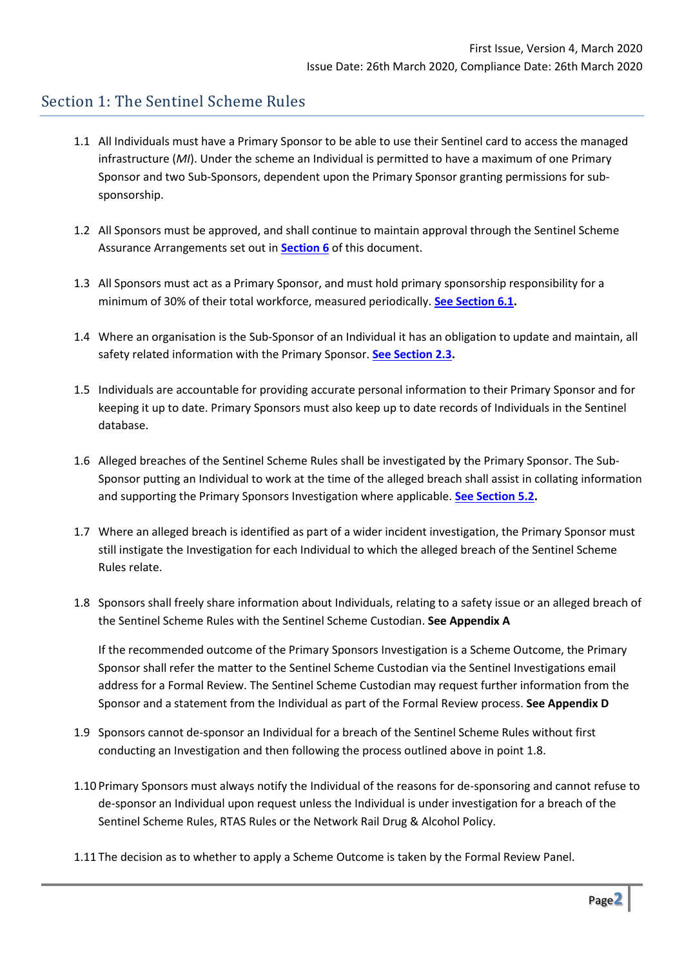# Section 1: The Sentinel Scheme Rules

- 1.1 All Individuals must have a Primary Sponsor to be able to use their Sentinel card to access the managed infrastructure (*MI*). Under the scheme an Individual is permitted to have a maximum of one Primary Sponsor and two Sub-Sponsors, dependent upon the Primary Sponsor granting permissions for subsponsorship.
- 1.2 All Sponsors must be approved, and shall continue to maintain approval through the Sentinel Scheme Assurance Arrangements set out in **[Section 6](#page-17-0)** of this document.
- 1.3 All Sponsors must act as a Primary Sponsor, and must hold primary sponsorship responsibility for a minimum of 30% of their total workforce, measured periodically. **[See Section 6.1.](#page-17-0)**
- 1.4 Where an organisation is the Sub-Sponsor of an Individual it has an obligation to update and maintain, all safety related information with the Primary Sponsor. **[See Section 2.3.](#page-4-0)**
- 1.5 Individuals are accountable for providing accurate personal information to their Primary Sponsor and for keeping it up to date. Primary Sponsors must also keep up to date records of Individuals in the Sentinel database.
- 1.6 Alleged breaches of the Sentinel Scheme Rules shall be investigated by the Primary Sponsor. The Sub-Sponsor putting an Individual to work at the time of the alleged breach shall assist in collating information and supporting the Primary Sponsors Investigation where applicable. **[See Section](#page-14-0) 5.2.**
- 1.7 Where an alleged breach is identified as part of a wider incident investigation, the Primary Sponsor must still instigate the Investigation for each Individual to which the alleged breach of the Sentinel Scheme Rules relate.
- 1.8 Sponsors shall freely share information about Individuals, relating to a safety issue or an alleged breach of the Sentinel Scheme Rules with the Sentinel Scheme Custodian. **See Appendix A**

If the recommended outcome of the Primary Sponsors Investigation is a Scheme Outcome, the Primary Sponsor shall refer the matter to the Sentinel Scheme Custodian via the Sentinel Investigations email address for a Formal Review. The Sentinel Scheme Custodian may request further information from the Sponsor and a statement from the Individual as part of the Formal Review process. **See Appendix D**

- 1.9 Sponsors cannot de-sponsor an Individual for a breach of the Sentinel Scheme Rules without first conducting an Investigation and then following the process outlined above in point 1.8.
- 1.10 Primary Sponsors must always notify the Individual of the reasons for de-sponsoring and cannot refuse to de-sponsor an Individual upon request unless the Individual is under investigation for a breach of the Sentinel Scheme Rules, RTAS Rules or the Network Rail Drug & Alcohol Policy.
- 1.11 The decision as to whether to apply a Scheme Outcome is taken by the Formal Review Panel.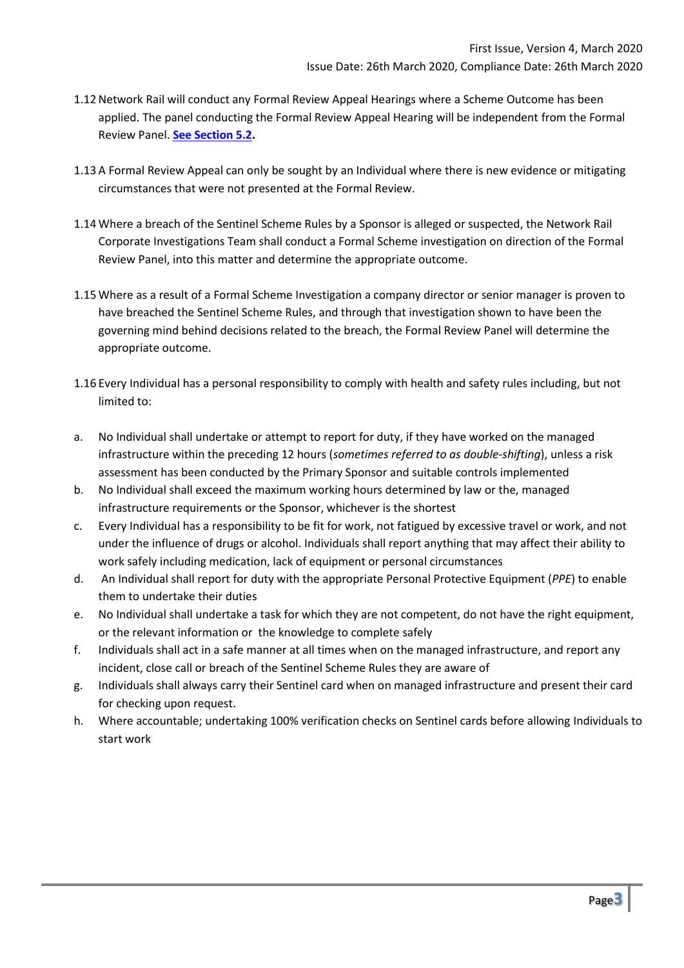- 1.12Network Rail will conduct any Formal Review Appeal Hearings where a Scheme Outcome has been applied. The panel conducting the Formal Review Appeal Hearing will be independent from the Formal Review Panel. **[See Section 5.2.](#page-14-0)**
- 1.13 A Formal Review Appeal can only be sought by an Individual where there is new evidence or mitigating circumstances that were not presented at the Formal Review.
- 1.14 Where a breach of the Sentinel Scheme Rules by a Sponsor is alleged or suspected, the Network Rail Corporate Investigations Team shall conduct a Formal Scheme investigation on direction of the Formal Review Panel, into this matter and determine the appropriate outcome.
- 1.15 Where as a result of a Formal Scheme Investigation a company director or senior manager is proven to have breached the Sentinel Scheme Rules, and through that investigation shown to have been the governing mind behind decisions related to the breach, the Formal Review Panel will determine the appropriate outcome.
- 1.16 Every Individual has a personal responsibility to comply with health and safety rules including, but not limited to:
- a. No Individual shall undertake or attempt to report for duty, if they have worked on the managed infrastructure within the preceding 12 hours (*sometimes referred to as double-shifting*), unless a risk assessment has been conducted by the Primary Sponsor and suitable controls implemented
- b. No Individual shall exceed the maximum working hours determined by law or the, managed infrastructure requirements or the Sponsor, whichever is the shortest
- c. Every Individual has a responsibility to be fit for work, not fatigued by excessive travel or work, and not under the influence of drugs or alcohol. Individuals shall report anything that may affect their ability to work safely including medication, lack of equipment or personal circumstances
- d. An Individual shall report for duty with the appropriate Personal Protective Equipment (*PPE*) to enable them to undertake their duties
- e. No Individual shall undertake a task for which they are not competent, do not have the right equipment, or the relevant information or the knowledge to complete safely
- f. Individuals shall act in a safe manner at all times when on the managed infrastructure, and report any incident, close call or breach of the Sentinel Scheme Rules they are aware of
- g. Individuals shall always carry their Sentinel card when on managed infrastructure and present their card for checking upon request.
- h. Where accountable; undertaking 100% verification checks on Sentinel cards before allowing Individuals to start work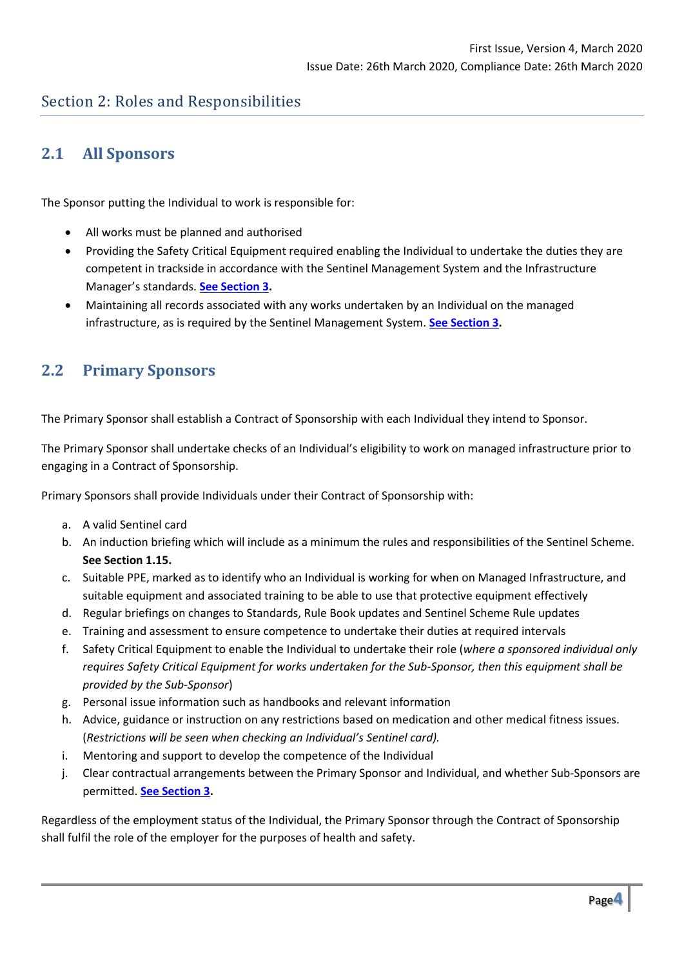# Section 2: Roles and Responsibilities

# **2.1 All Sponsors**

The Sponsor putting the Individual to work is responsible for:

- All works must be planned and authorised
- Providing the Safety Critical Equipment required enabling the Individual to undertake the duties they are competent in trackside in accordance with the Sentinel Management System and the Infrastructure Manager's standards. **[See Section 3.](#page-6-0)**
- Maintaining all records associated with any works undertaken by an Individual on the managed infrastructure, as is required by the Sentinel Management System. **[See Section 3.](#page-6-0)**

# <span id="page-3-0"></span>**2.2 Primary Sponsors**

The Primary Sponsor shall establish a Contract of Sponsorship with each Individual they intend to Sponsor.

The Primary Sponsor shall undertake checks of an Individual's eligibility to work on managed infrastructure prior to engaging in a Contract of Sponsorship.

Primary Sponsors shall provide Individuals under their Contract of Sponsorship with:

- a. A valid Sentinel card
- b. An induction briefing which will include as a minimum the rules and responsibilities of the Sentinel Scheme. **See Section 1.15.**
- c. Suitable PPE, marked as to identify who an Individual is working for when on Managed Infrastructure, and suitable equipment and associated training to be able to use that protective equipment effectively
- d. Regular briefings on changes to Standards, Rule Book updates and Sentinel Scheme Rule updates
- e. Training and assessment to ensure competence to undertake their duties at required intervals
- f. Safety Critical Equipment to enable the Individual to undertake their role (*where a sponsored individual only requires Safety Critical Equipment for works undertaken for the Sub-Sponsor, then this equipment shall be provided by the Sub-Sponsor*)
- g. Personal issue information such as handbooks and relevant information
- h. Advice, guidance or instruction on any restrictions based on medication and other medical fitness issues. (*Restrictions will be seen when checking an Individual's Sentinel card).*
- i. Mentoring and support to develop the competence of the Individual
- j. Clear contractual arrangements between the Primary Sponsor and Individual, and whether Sub-Sponsors are permitted. **[See Section 3.](#page-6-0)**

Regardless of the employment status of the Individual, the Primary Sponsor through the Contract of Sponsorship shall fulfil the role of the employer for the purposes of health and safety.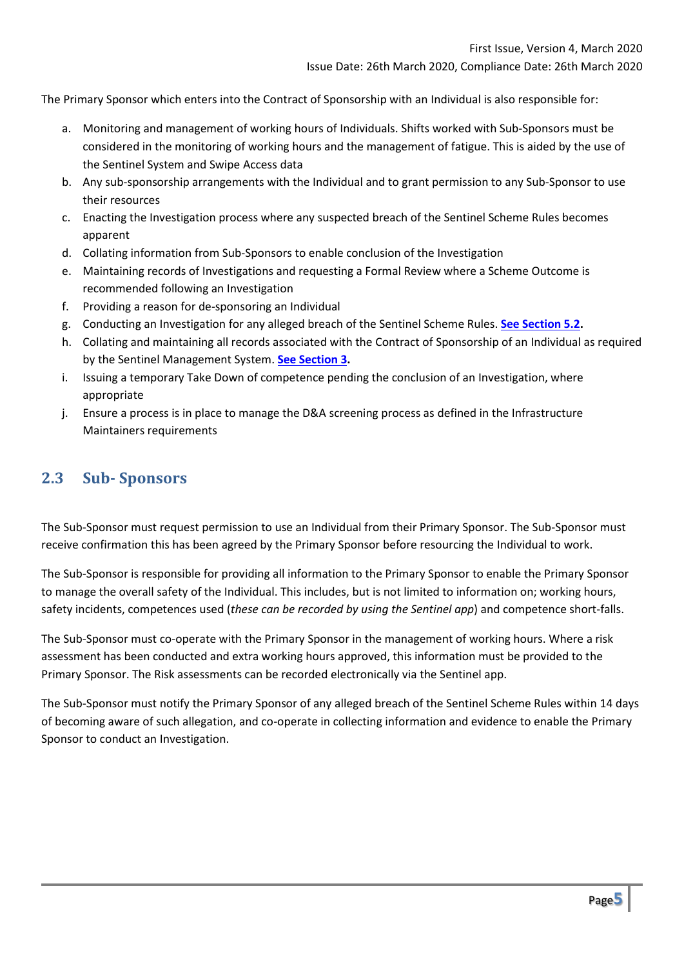The Primary Sponsor which enters into the Contract of Sponsorship with an Individual is also responsible for:

- a. Monitoring and management of working hours of Individuals. Shifts worked with Sub-Sponsors must be considered in the monitoring of working hours and the management of fatigue. This is aided by the use of the Sentinel System and Swipe Access data
- b. Any sub-sponsorship arrangements with the Individual and to grant permission to any Sub-Sponsor to use their resources
- c. Enacting the Investigation process where any suspected breach of the Sentinel Scheme Rules becomes apparent
- d. Collating information from Sub-Sponsors to enable conclusion of the Investigation
- e. Maintaining records of Investigations and requesting a Formal Review where a Scheme Outcome is recommended following an Investigation
- f. Providing a reason for de-sponsoring an Individual
- g. Conducting an Investigation for any alleged breach of the Sentinel Scheme Rules. **[See Section 5.2.](#page-14-0)**
- h. Collating and maintaining all records associated with the Contract of Sponsorship of an Individual as required by the Sentinel Management System. **[See Section 3.](#page-6-0)**
- i. Issuing a temporary Take Down of competence pending the conclusion of an Investigation, where appropriate
- j. Ensure a process is in place to manage the D&A screening process as defined in the Infrastructure Maintainers requirements

#### <span id="page-4-0"></span>**2.3 Sub- Sponsors**

The Sub-Sponsor must request permission to use an Individual from their Primary Sponsor. The Sub-Sponsor must receive confirmation this has been agreed by the Primary Sponsor before resourcing the Individual to work.

The Sub-Sponsor is responsible for providing all information to the Primary Sponsor to enable the Primary Sponsor to manage the overall safety of the Individual. This includes, but is not limited to information on; working hours, safety incidents, competences used (*these can be recorded by using the Sentinel app*) and competence short-falls.

The Sub-Sponsor must co-operate with the Primary Sponsor in the management of working hours. Where a risk assessment has been conducted and extra working hours approved, this information must be provided to the Primary Sponsor. The Risk assessments can be recorded electronically via the Sentinel app.

The Sub-Sponsor must notify the Primary Sponsor of any alleged breach of the Sentinel Scheme Rules within 14 days of becoming aware of such allegation, and co-operate in collecting information and evidence to enable the Primary Sponsor to conduct an Investigation.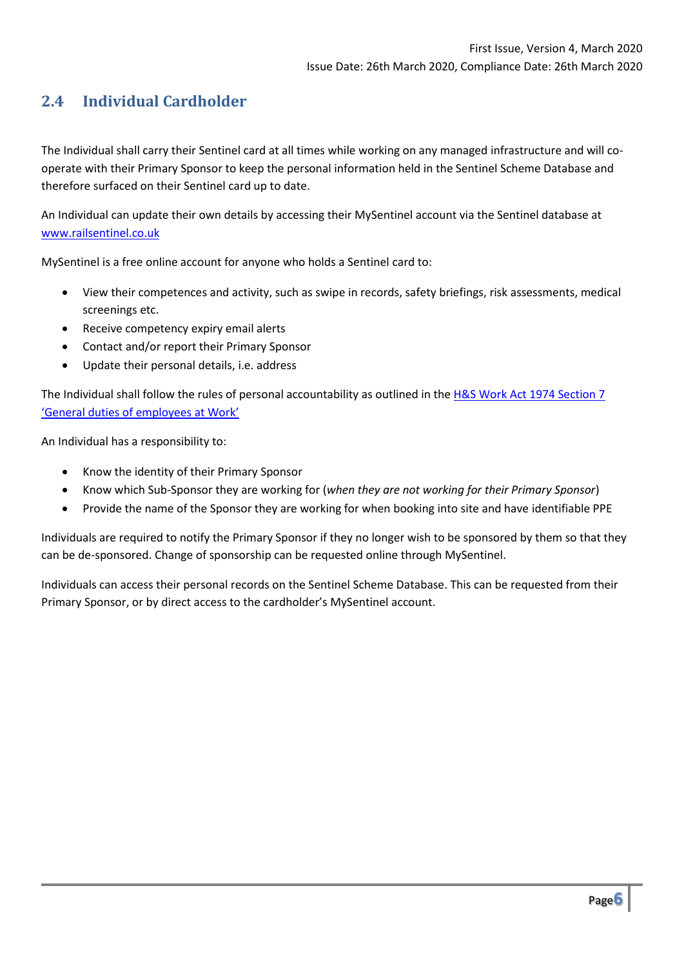# **2.4 Individual Cardholder**

The Individual shall carry their Sentinel card at all times while working on any managed infrastructure and will cooperate with their Primary Sponsor to keep the personal information held in the Sentinel Scheme Database and therefore surfaced on their Sentinel card up to date.

An Individual can update their own details by accessing their MySentinel account via the Sentinel database at [www.railsentinel.co.uk](http://www.railsentinel.co.uk/)

MySentinel is a free online account for anyone who holds a Sentinel card to:

- View their competences and activity, such as swipe in records, safety briefings, risk assessments, medical screenings etc.
- Receive competency expiry email alerts
- Contact and/or report their Primary Sponsor
- Update their personal details, i.e. address

The Individual shall follow the rules of personal accountability as outlined in the [H&S Work Act 1974 Section 7](http://www.legislation.gov.uk/ukpga/1974/37/section/7)  ['General duties of employees at Work'](http://www.legislation.gov.uk/ukpga/1974/37/section/7)

An Individual has a responsibility to:

- Know the identity of their Primary Sponsor
- Know which Sub-Sponsor they are working for (*when they are not working for their Primary Sponsor*)
- Provide the name of the Sponsor they are working for when booking into site and have identifiable PPE

Individuals are required to notify the Primary Sponsor if they no longer wish to be sponsored by them so that they can be de-sponsored. Change of sponsorship can be requested online through MySentinel.

Individuals can access their personal records on the Sentinel Scheme Database. This can be requested from their Primary Sponsor, or by direct access to the cardholder's MySentinel account.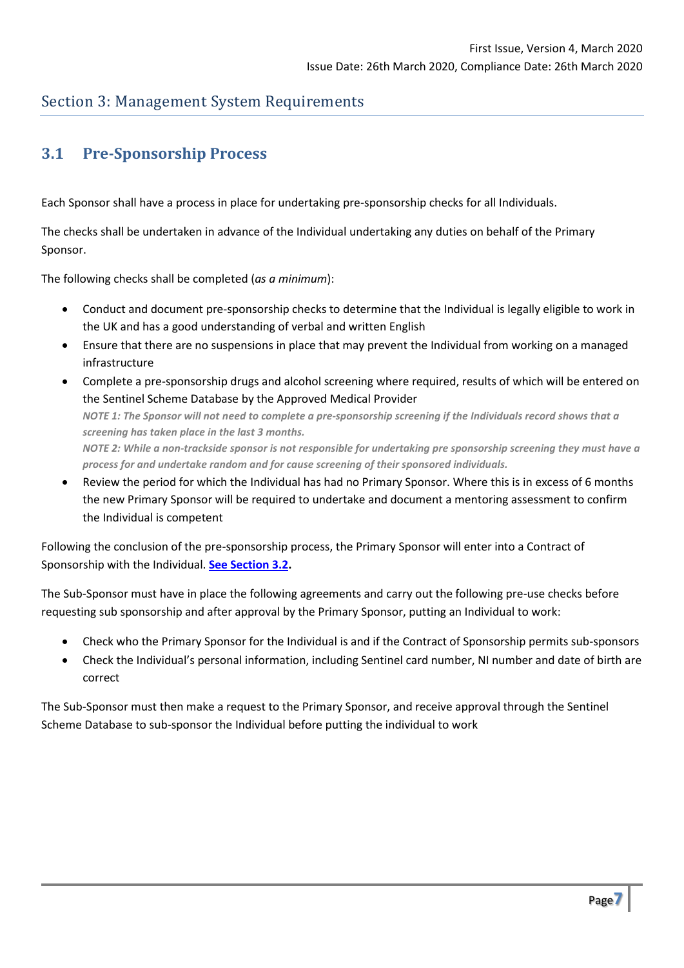## <span id="page-6-1"></span>Section 3: Management System Requirements

# <span id="page-6-0"></span>**3.1 Pre-Sponsorship Process**

Each Sponsor shall have a process in place for undertaking pre-sponsorship checks for all Individuals.

The checks shall be undertaken in advance of the Individual undertaking any duties on behalf of the Primary Sponsor.

The following checks shall be completed (*as a minimum*):

- Conduct and document pre-sponsorship checks to determine that the Individual is legally eligible to work in the UK and has a good understanding of verbal and written English
- Ensure that there are no suspensions in place that may prevent the Individual from working on a managed infrastructure
- Complete a pre-sponsorship drugs and alcohol screening where required, results of which will be entered on the Sentinel Scheme Database by the Approved Medical Provider *NOTE 1: The Sponsor will not need to complete a pre-sponsorship screening if the Individuals record shows that a screening has taken place in the last 3 months. NOTE 2: While a non-trackside sponsor is not responsible for undertaking pre sponsorship screening they must have a process for and undertake random and for cause screening of their sponsored individuals.*
- Review the period for which the Individual has had no Primary Sponsor. Where this is in excess of 6 months the new Primary Sponsor will be required to undertake and document a mentoring assessment to confirm the Individual is competent

Following the conclusion of the pre-sponsorship process, the Primary Sponsor will enter into a Contract of Sponsorship with the Individual. **[See Section 3.2.](#page-6-1)**

The Sub-Sponsor must have in place the following agreements and carry out the following pre-use checks before requesting sub sponsorship and after approval by the Primary Sponsor, putting an Individual to work:

- Check who the Primary Sponsor for the Individual is and if the Contract of Sponsorship permits sub-sponsors
- Check the Individual's personal information, including Sentinel card number, NI number and date of birth are correct

The Sub-Sponsor must then make a request to the Primary Sponsor, and receive approval through the Sentinel Scheme Database to sub-sponsor the Individual before putting the individual to work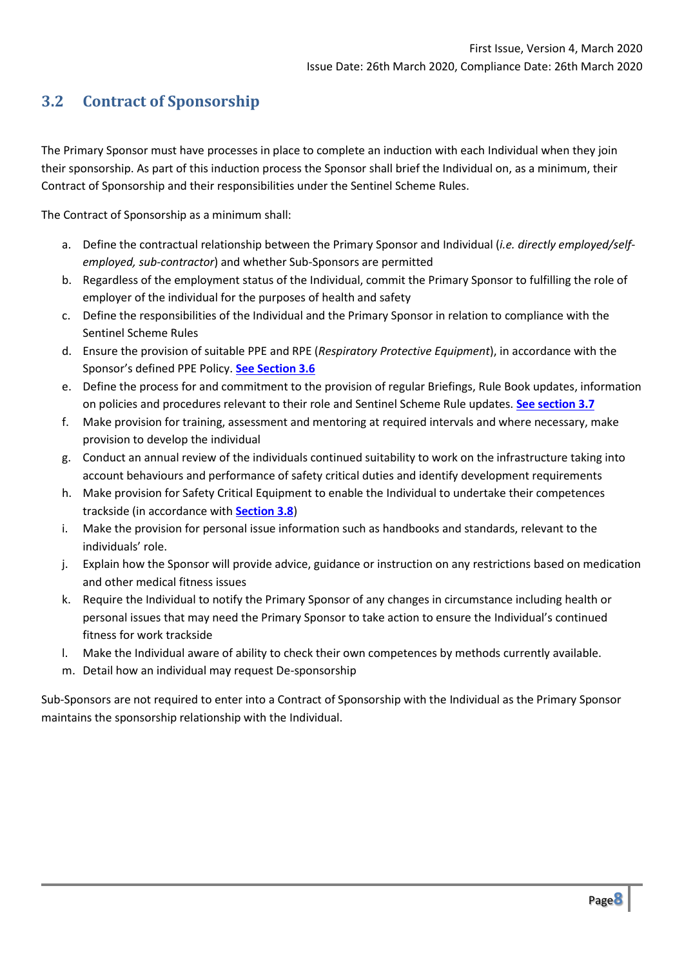# **3.2 Contract of Sponsorship**

The Primary Sponsor must have processes in place to complete an induction with each Individual when they join their sponsorship. As part of this induction process the Sponsor shall brief the Individual on, as a minimum, their Contract of Sponsorship and their responsibilities under the Sentinel Scheme Rules.

The Contract of Sponsorship as a minimum shall:

- a. Define the contractual relationship between the Primary Sponsor and Individual (*i.e. directly employed/selfemployed, sub-contractor*) and whether Sub-Sponsors are permitted
- b. Regardless of the employment status of the Individual, commit the Primary Sponsor to fulfilling the role of employer of the individual for the purposes of health and safety
- c. Define the responsibilities of the Individual and the Primary Sponsor in relation to compliance with the Sentinel Scheme Rules
- d. Ensure the provision of suitable PPE and RPE (*Respiratory Protective Equipment*), in accordance with the Sponsor's defined PPE Policy. **[See Section 3.6](#page-8-0)**
- e. Define the process for and commitment to the provision of regular Briefings, Rule Book updates, information on policies and procedures relevant to their role and Sentinel Scheme Rule updates. **[See section 3.7](#page-9-0)**
- f. Make provision for training, assessment and mentoring at required intervals and where necessary, make provision to develop the individual
- g. Conduct an annual review of the individuals continued suitability to work on the infrastructure taking into account behaviours and performance of safety critical duties and identify development requirements
- h. Make provision for Safety Critical Equipment to enable the Individual to undertake their competences trackside (in accordance with **[Section 3.8](#page-10-0)**)
- i. Make the provision for personal issue information such as handbooks and standards, relevant to the individuals' role.
- j. Explain how the Sponsor will provide advice, guidance or instruction on any restrictions based on medication and other medical fitness issues
- k. Require the Individual to notify the Primary Sponsor of any changes in circumstance including health or personal issues that may need the Primary Sponsor to take action to ensure the Individual's continued fitness for work trackside
- l. Make the Individual aware of ability to check their own competences by methods currently available.
- m. Detail how an individual may request De-sponsorship

Sub-Sponsors are not required to enter into a Contract of Sponsorship with the Individual as the Primary Sponsor maintains the sponsorship relationship with the Individual.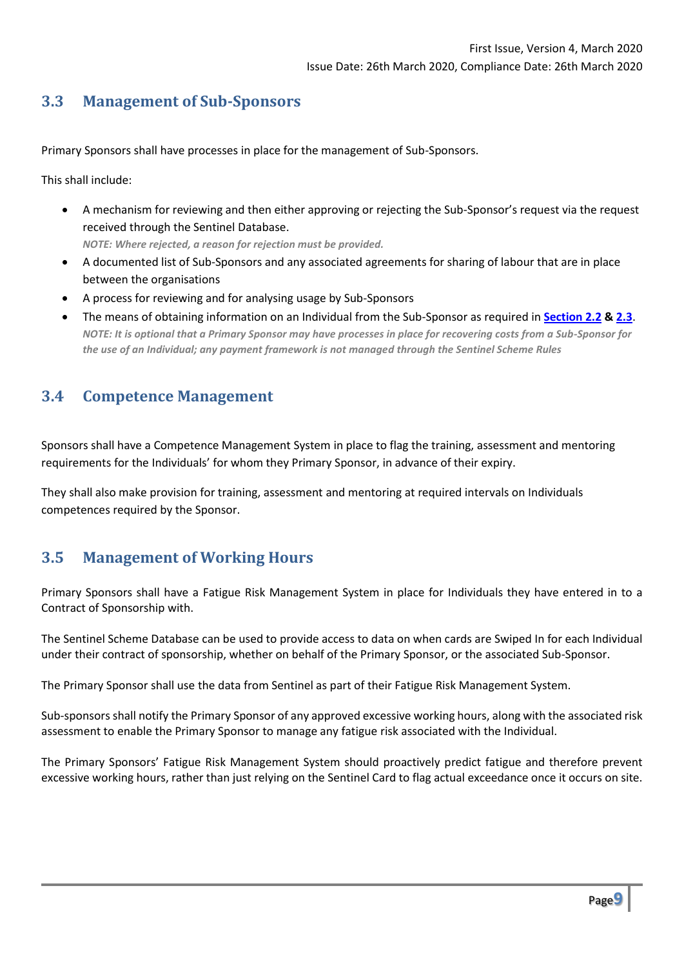# **3.3 Management of Sub-Sponsors**

Primary Sponsors shall have processes in place for the management of Sub-Sponsors.

This shall include:

• A mechanism for reviewing and then either approving or rejecting the Sub-Sponsor's request via the request received through the Sentinel Database.

*NOTE: Where rejected, a reason for rejection must be provided.*

- A documented list of Sub-Sponsors and any associated agreements for sharing of labour that are in place between the organisations
- A process for reviewing and for analysing usage by Sub-Sponsors
- The means of obtaining information on an Individual from the Sub-Sponsor as required in **[Section 2.2](#page-3-0) [& 2.3](#page-4-0)**. *NOTE: It is optional that a Primary Sponsor may have processes in place for recovering costs from a Sub-Sponsor for the use of an Individual; any payment framework is not managed through the Sentinel Scheme Rules*

## **3.4 Competence Management**

Sponsors shall have a Competence Management System in place to flag the training, assessment and mentoring requirements for the Individuals' for whom they Primary Sponsor, in advance of their expiry.

They shall also make provision for training, assessment and mentoring at required intervals on Individuals competences required by the Sponsor.

# **3.5 Management of Working Hours**

Primary Sponsors shall have a Fatigue Risk Management System in place for Individuals they have entered in to a Contract of Sponsorship with.

The Sentinel Scheme Database can be used to provide access to data on when cards are Swiped In for each Individual under their contract of sponsorship, whether on behalf of the Primary Sponsor, or the associated Sub-Sponsor.

The Primary Sponsor shall use the data from Sentinel as part of their Fatigue Risk Management System.

Sub-sponsors shall notify the Primary Sponsor of any approved excessive working hours, along with the associated risk assessment to enable the Primary Sponsor to manage any fatigue risk associated with the Individual.

<span id="page-8-0"></span>The Primary Sponsors' Fatigue Risk Management System should proactively predict fatigue and therefore prevent excessive working hours, rather than just relying on the Sentinel Card to flag actual exceedance once it occurs on site.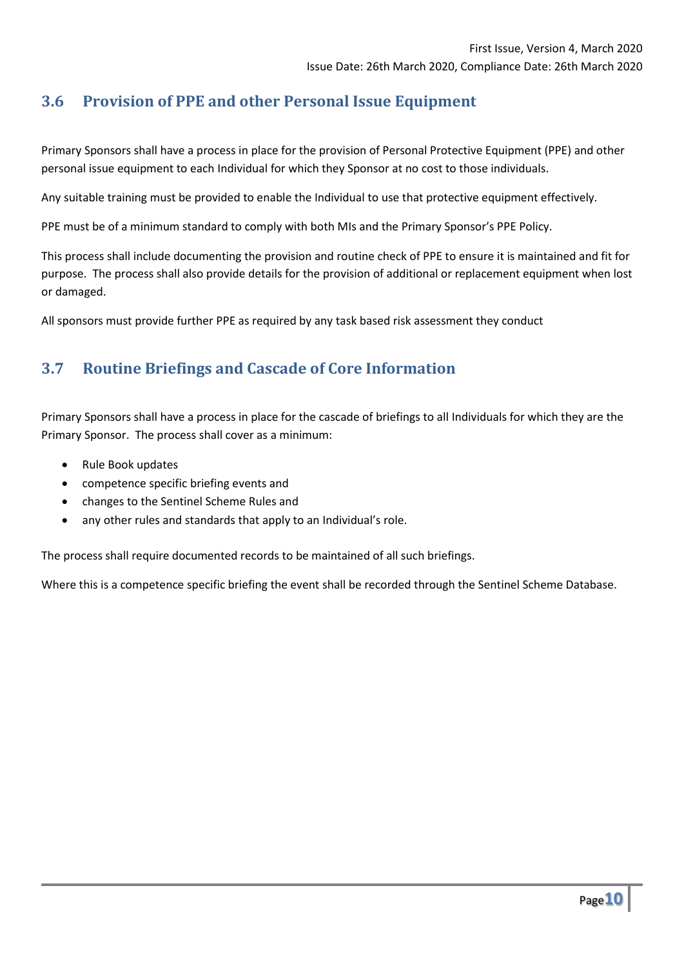# **3.6 Provision of PPE and other Personal Issue Equipment**

Primary Sponsors shall have a process in place for the provision of Personal Protective Equipment (PPE) and other personal issue equipment to each Individual for which they Sponsor at no cost to those individuals.

Any suitable training must be provided to enable the Individual to use that protective equipment effectively.

PPE must be of a minimum standard to comply with both MIs and the Primary Sponsor's PPE Policy.

This process shall include documenting the provision and routine check of PPE to ensure it is maintained and fit for purpose. The process shall also provide details for the provision of additional or replacement equipment when lost or damaged.

All sponsors must provide further PPE as required by any task based risk assessment they conduct

## <span id="page-9-0"></span>**3.7 Routine Briefings and Cascade of Core Information**

Primary Sponsors shall have a process in place for the cascade of briefings to all Individuals for which they are the Primary Sponsor. The process shall cover as a minimum:

- Rule Book updates
- competence specific briefing events and
- changes to the Sentinel Scheme Rules and
- any other rules and standards that apply to an Individual's role.

The process shall require documented records to be maintained of all such briefings.

Where this is a competence specific briefing the event shall be recorded through the Sentinel Scheme Database.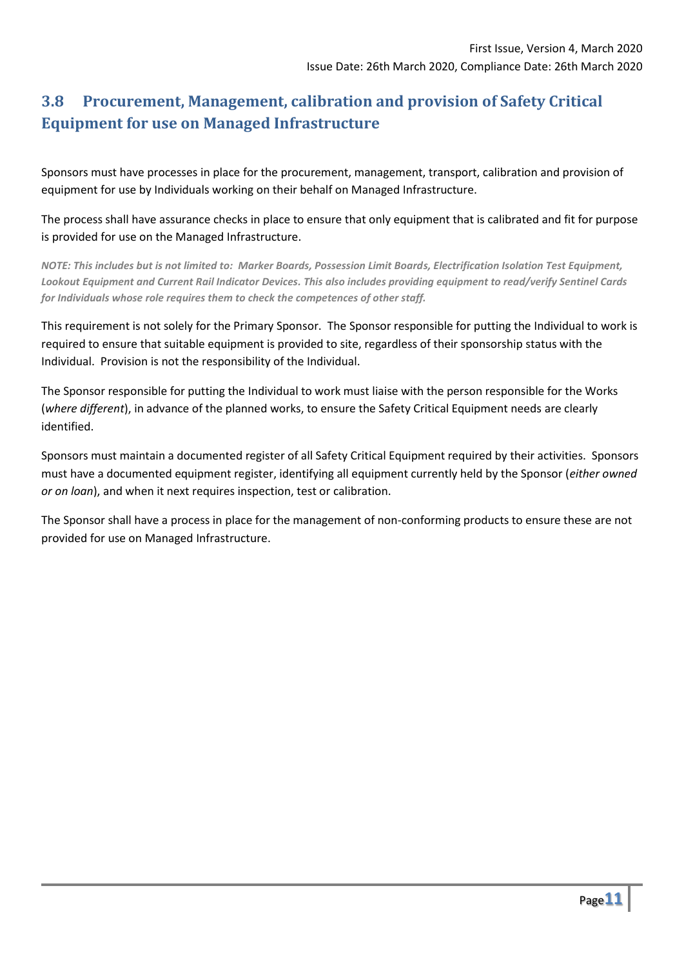# <span id="page-10-0"></span>**3.8 Procurement, Management, calibration and provision of Safety Critical Equipment for use on Managed Infrastructure**

Sponsors must have processes in place for the procurement, management, transport, calibration and provision of equipment for use by Individuals working on their behalf on Managed Infrastructure.

The process shall have assurance checks in place to ensure that only equipment that is calibrated and fit for purpose is provided for use on the Managed Infrastructure.

*NOTE: This includes but is not limited to: Marker Boards, Possession Limit Boards, Electrification Isolation Test Equipment, Lookout Equipment and Current Rail Indicator Devices. This also includes providing equipment to read/verify Sentinel Cards for Individuals whose role requires them to check the competences of other staff.*

This requirement is not solely for the Primary Sponsor. The Sponsor responsible for putting the Individual to work is required to ensure that suitable equipment is provided to site, regardless of their sponsorship status with the Individual. Provision is not the responsibility of the Individual.

The Sponsor responsible for putting the Individual to work must liaise with the person responsible for the Works (*where different*), in advance of the planned works, to ensure the Safety Critical Equipment needs are clearly identified.

Sponsors must maintain a documented register of all Safety Critical Equipment required by their activities. Sponsors must have a documented equipment register, identifying all equipment currently held by the Sponsor (*either owned or on loan*), and when it next requires inspection, test or calibration.

The Sponsor shall have a process in place for the management of non-conforming products to ensure these are not provided for use on Managed Infrastructure.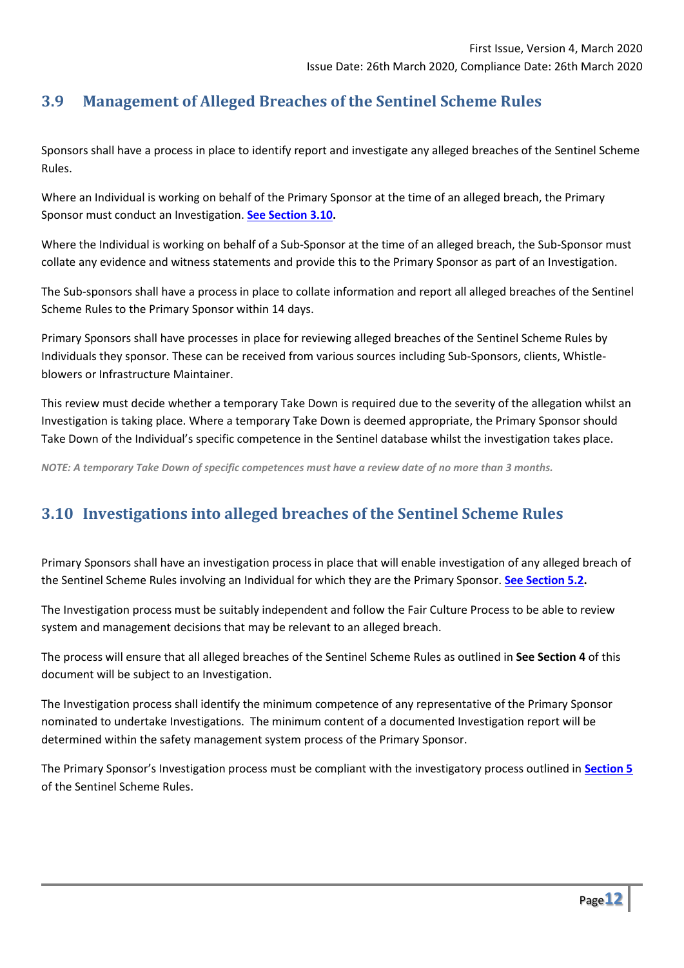# **3.9 Management of Alleged Breaches of the Sentinel Scheme Rules**

Sponsors shall have a process in place to identify report and investigate any alleged breaches of the Sentinel Scheme Rules.

Where an Individual is working on behalf of the Primary Sponsor at the time of an alleged breach, the Primary Sponsor must conduct an Investigation. **[See Section 3.10.](#page-11-0)**

Where the Individual is working on behalf of a Sub-Sponsor at the time of an alleged breach, the Sub-Sponsor must collate any evidence and witness statements and provide this to the Primary Sponsor as part of an Investigation.

The Sub-sponsors shall have a process in place to collate information and report all alleged breaches of the Sentinel Scheme Rules to the Primary Sponsor within 14 days.

Primary Sponsors shall have processes in place for reviewing alleged breaches of the Sentinel Scheme Rules by Individuals they sponsor. These can be received from various sources including Sub-Sponsors, clients, Whistleblowers or Infrastructure Maintainer.

This review must decide whether a temporary Take Down is required due to the severity of the allegation whilst an Investigation is taking place. Where a temporary Take Down is deemed appropriate, the Primary Sponsor should Take Down of the Individual's specific competence in the Sentinel database whilst the investigation takes place.

*NOTE: A temporary Take Down of specific competences must have a review date of no more than 3 months.* 

# <span id="page-11-0"></span>**3.10 Investigations into alleged breaches of the Sentinel Scheme Rules**

Primary Sponsors shall have an investigation process in place that will enable investigation of any alleged breach of the Sentinel Scheme Rules involving an Individual for which they are the Primary Sponsor. **[See Section 5.2.](#page-14-0)**

The Investigation process must be suitably independent and follow the Fair Culture Process to be able to review system and management decisions that may be relevant to an alleged breach.

The process will ensure that all alleged breaches of the Sentinel Scheme Rules as outlined in **See Section 4** of this document will be subject to an Investigation.

The Investigation process shall identify the minimum competence of any representative of the Primary Sponsor nominated to undertake Investigations. The minimum content of a documented Investigation report will be determined within the safety management system process of the Primary Sponsor.

The Primary Sponsor's Investigation process must be compliant with the investigatory process outlined in **[Section 5](#page-14-1)** of the Sentinel Scheme Rules.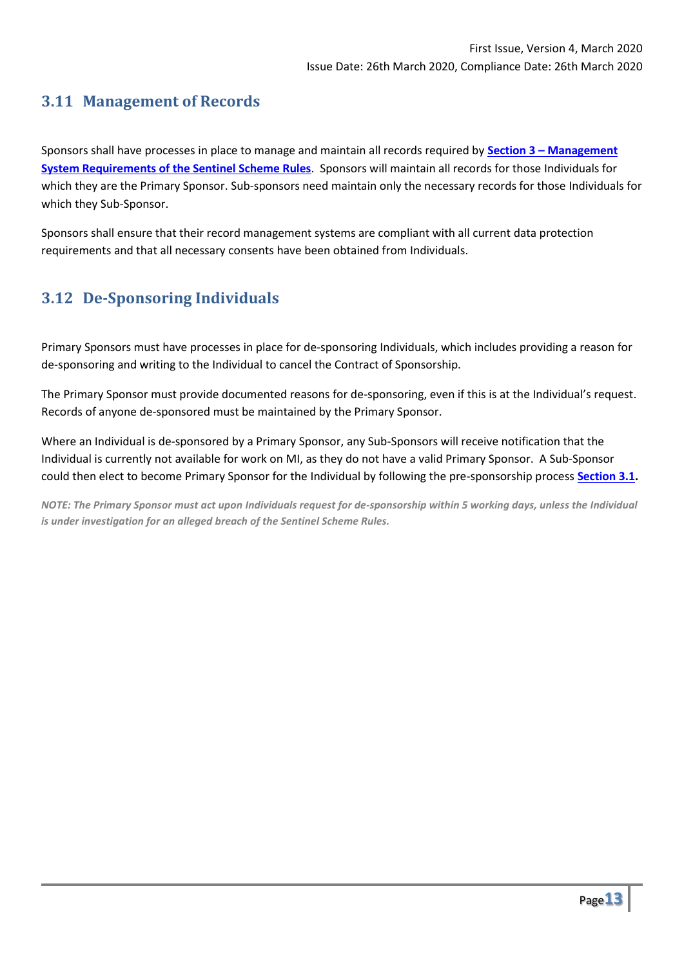# **3.11 Management of Records**

Sponsors shall have processes in place to manage and maintain all records required by **Section 3 – [Management](#page-6-0)  [System Requirements of the Sentinel Scheme Rules](#page-6-0)**. Sponsors will maintain all records for those Individuals for which they are the Primary Sponsor. Sub-sponsors need maintain only the necessary records for those Individuals for which they Sub-Sponsor.

Sponsors shall ensure that their record management systems are compliant with all current data protection requirements and that all necessary consents have been obtained from Individuals.

# **3.12 De-Sponsoring Individuals**

Primary Sponsors must have processes in place for de-sponsoring Individuals, which includes providing a reason for de-sponsoring and writing to the Individual to cancel the Contract of Sponsorship.

The Primary Sponsor must provide documented reasons for de-sponsoring, even if this is at the Individual's request. Records of anyone de-sponsored must be maintained by the Primary Sponsor.

Where an Individual is de-sponsored by a Primary Sponsor, any Sub-Sponsors will receive notification that the Individual is currently not available for work on MI, as they do not have a valid Primary Sponsor. A Sub-Sponsor could then elect to become Primary Sponsor for the Individual by following the pre-sponsorship process **[Section 3.1.](#page-6-0)**

*NOTE: The Primary Sponsor must act upon Individuals request for de-sponsorship within 5 working days, unless the Individual is under investigation for an alleged breach of the Sentinel Scheme Rules.*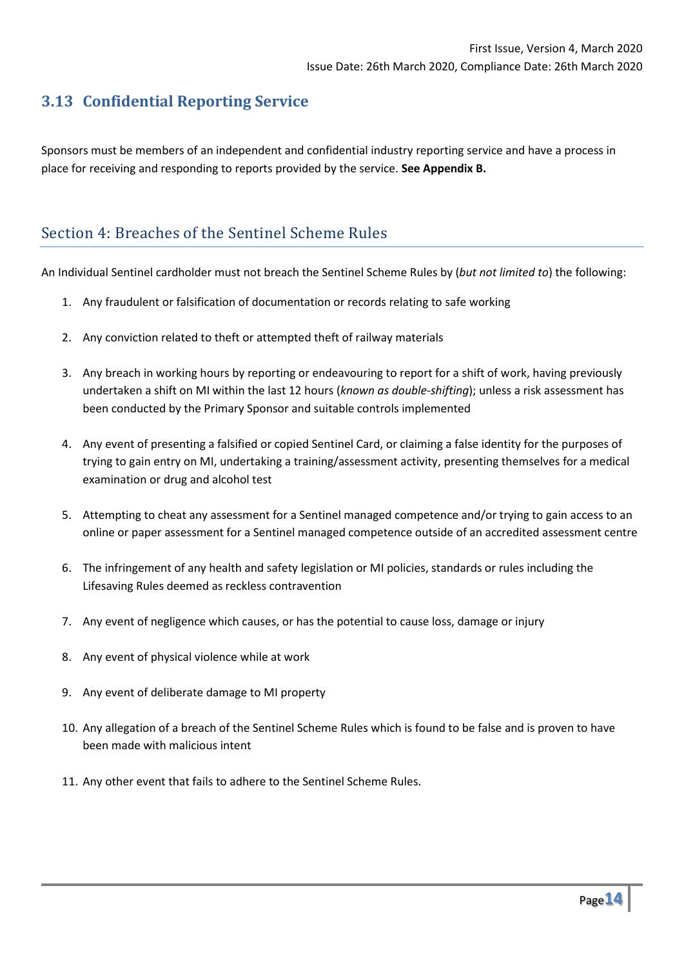# **3.13 Confidential Reporting Service**

Sponsors must be members of an independent and confidential industry reporting service and have a process in place for receiving and responding to reports provided by the service. **See Appendix B.**

# Section 4: Breaches of the Sentinel Scheme Rules

An Individual Sentinel cardholder must not breach the Sentinel Scheme Rules by (*but not limited to*) the following:

- 1. Any fraudulent or falsification of documentation or records relating to safe working
- 2. Any conviction related to theft or attempted theft of railway materials
- 3. Any breach in working hours by reporting or endeavouring to report for a shift of work, having previously undertaken a shift on MI within the last 12 hours (*known as double-shifting*); unless a risk assessment has been conducted by the Primary Sponsor and suitable controls implemented
- 4. Any event of presenting a falsified or copied Sentinel Card, or claiming a false identity for the purposes of trying to gain entry on MI, undertaking a training/assessment activity, presenting themselves for a medical examination or drug and alcohol test
- 5. Attempting to cheat any assessment for a Sentinel managed competence and/or trying to gain access to an online or paper assessment for a Sentinel managed competence outside of an accredited assessment centre
- 6. The infringement of any health and safety legislation or MI policies, standards or rules including the Lifesaving Rules deemed as reckless contravention
- 7. Any event of negligence which causes, or has the potential to cause loss, damage or injury
- 8. Any event of physical violence while at work
- 9. Any event of deliberate damage to MI property
- 10. Any allegation of a breach of the Sentinel Scheme Rules which is found to be false and is proven to have been made with malicious intent
- 11. Any other event that fails to adhere to the Sentinel Scheme Rules.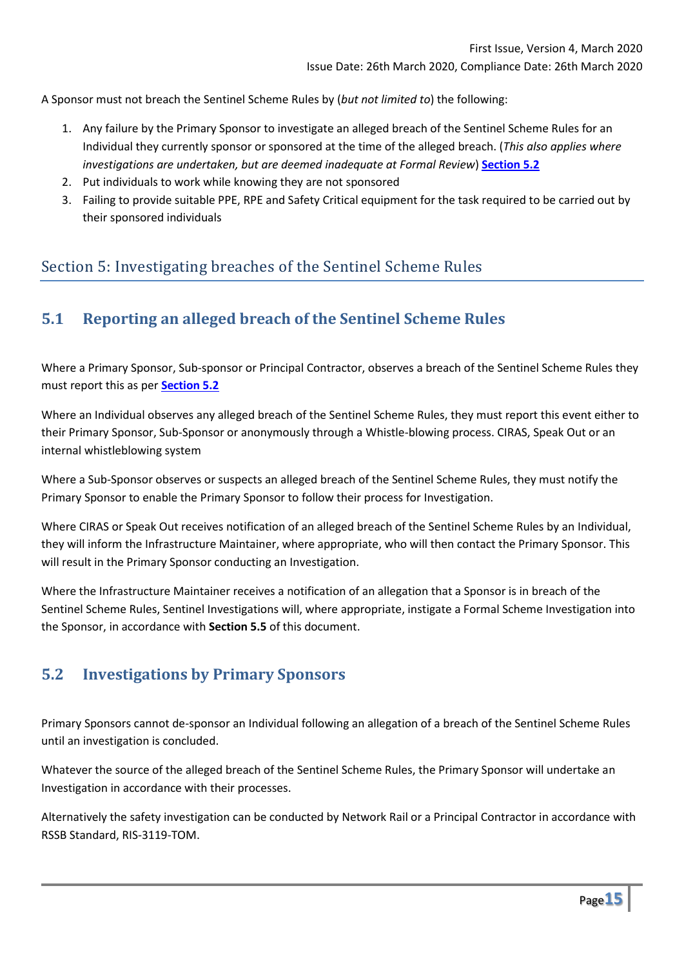A Sponsor must not breach the Sentinel Scheme Rules by (*but not limited to*) the following:

- 1. Any failure by the Primary Sponsor to investigate an alleged breach of the Sentinel Scheme Rules for an Individual they currently sponsor or sponsored at the time of the alleged breach. (*This also applies where investigations are undertaken, but are deemed inadequate at Formal Review*) **[Section 5.2](#page-14-0)**
- 2. Put individuals to work while knowing they are not sponsored
- 3. Failing to provide suitable PPE, RPE and Safety Critical equipment for the task required to be carried out by their sponsored individuals

# Section 5: Investigating breaches of the Sentinel Scheme Rules

## <span id="page-14-1"></span>**5.1 Reporting an alleged breach of the Sentinel Scheme Rules**

Where a Primary Sponsor, Sub-sponsor or Principal Contractor, observes a breach of the Sentinel Scheme Rules they must report this as per **[Section 5.2](#page-14-0)**

Where an Individual observes any alleged breach of the Sentinel Scheme Rules, they must report this event either to their Primary Sponsor, Sub-Sponsor or anonymously through a Whistle-blowing process. CIRAS, Speak Out or an internal whistleblowing system

Where a Sub-Sponsor observes or suspects an alleged breach of the Sentinel Scheme Rules, they must notify the Primary Sponsor to enable the Primary Sponsor to follow their process for Investigation.

Where CIRAS or Speak Out receives notification of an alleged breach of the Sentinel Scheme Rules by an Individual, they will inform the Infrastructure Maintainer, where appropriate, who will then contact the Primary Sponsor. This will result in the Primary Sponsor conducting an Investigation.

Where the Infrastructure Maintainer receives a notification of an allegation that a Sponsor is in breach of the Sentinel Scheme Rules, Sentinel Investigations will, where appropriate, instigate a Formal Scheme Investigation into the Sponsor, in accordance with **Section 5.5** of this document.

# <span id="page-14-0"></span>**5.2 Investigations by Primary Sponsors**

Primary Sponsors cannot de-sponsor an Individual following an allegation of a breach of the Sentinel Scheme Rules until an investigation is concluded.

Whatever the source of the alleged breach of the Sentinel Scheme Rules, the Primary Sponsor will undertake an Investigation in accordance with their processes.

Alternatively the safety investigation can be conducted by Network Rail or a Principal Contractor in accordance with RSSB Standard, RIS-3119-TOM.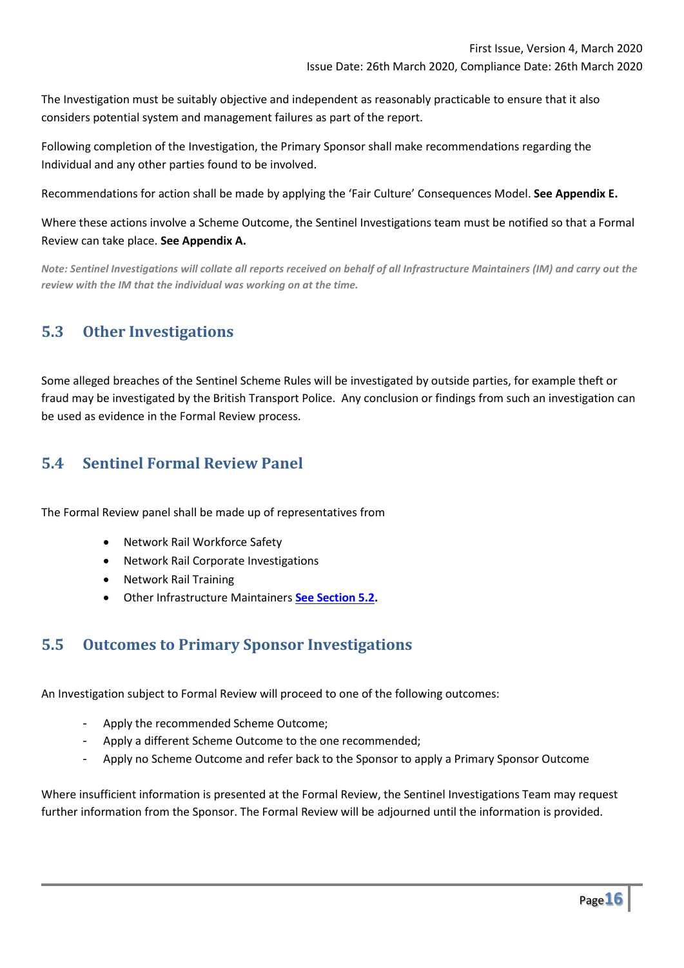The Investigation must be suitably objective and independent as reasonably practicable to ensure that it also considers potential system and management failures as part of the report.

Following completion of the Investigation, the Primary Sponsor shall make recommendations regarding the Individual and any other parties found to be involved.

Recommendations for action shall be made by applying the 'Fair Culture' Consequences Model. **See Appendix E.**

Where these actions involve a Scheme Outcome, the Sentinel Investigations team must be notified so that a Formal Review can take place. **See Appendix A.**

*Note: Sentinel Investigations will collate all reports received on behalf of all Infrastructure Maintainers (IM) and carry out the review with the IM that the individual was working on at the time.* 

## **5.3 Other Investigations**

Some alleged breaches of the Sentinel Scheme Rules will be investigated by outside parties, for example theft or fraud may be investigated by the British Transport Police. Any conclusion or findings from such an investigation can be used as evidence in the Formal Review process.

# **5.4 Sentinel Formal Review Panel**

The Formal Review panel shall be made up of representatives from

- Network Rail Workforce Safety
- Network Rail Corporate Investigations
- Network Rail Training
- Other Infrastructure Maintainers **[See Section 5.2.](#page-14-0)**

#### **5.5 Outcomes to Primary Sponsor Investigations**

An Investigation subject to Formal Review will proceed to one of the following outcomes:

- Apply the recommended Scheme Outcome;
- Apply a different Scheme Outcome to the one recommended;
- Apply no Scheme Outcome and refer back to the Sponsor to apply a Primary Sponsor Outcome

Where insufficient information is presented at the Formal Review, the Sentinel Investigations Team may request further information from the Sponsor. The Formal Review will be adjourned until the information is provided.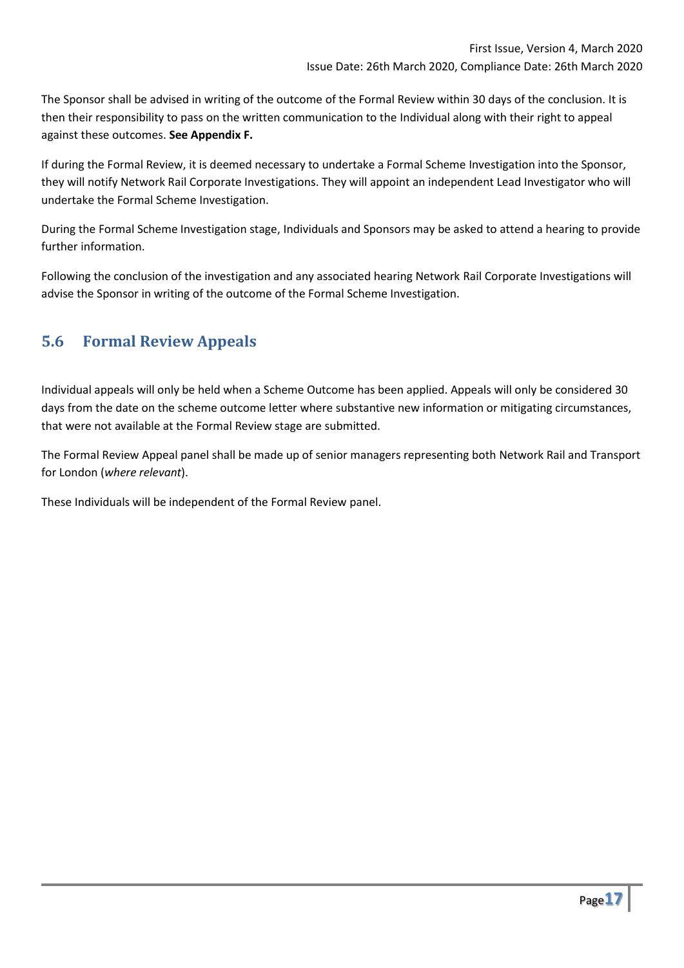The Sponsor shall be advised in writing of the outcome of the Formal Review within 30 days of the conclusion. It is then their responsibility to pass on the written communication to the Individual along with their right to appeal against these outcomes. **See Appendix F.**

If during the Formal Review, it is deemed necessary to undertake a Formal Scheme Investigation into the Sponsor, they will notify Network Rail Corporate Investigations. They will appoint an independent Lead Investigator who will undertake the Formal Scheme Investigation.

During the Formal Scheme Investigation stage, Individuals and Sponsors may be asked to attend a hearing to provide further information.

Following the conclusion of the investigation and any associated hearing Network Rail Corporate Investigations will advise the Sponsor in writing of the outcome of the Formal Scheme Investigation.

# **5.6 Formal Review Appeals**

Individual appeals will only be held when a Scheme Outcome has been applied. Appeals will only be considered 30 days from the date on the scheme outcome letter where substantive new information or mitigating circumstances, that were not available at the Formal Review stage are submitted.

The Formal Review Appeal panel shall be made up of senior managers representing both Network Rail and Transport for London (*where relevant*).

These Individuals will be independent of the Formal Review panel.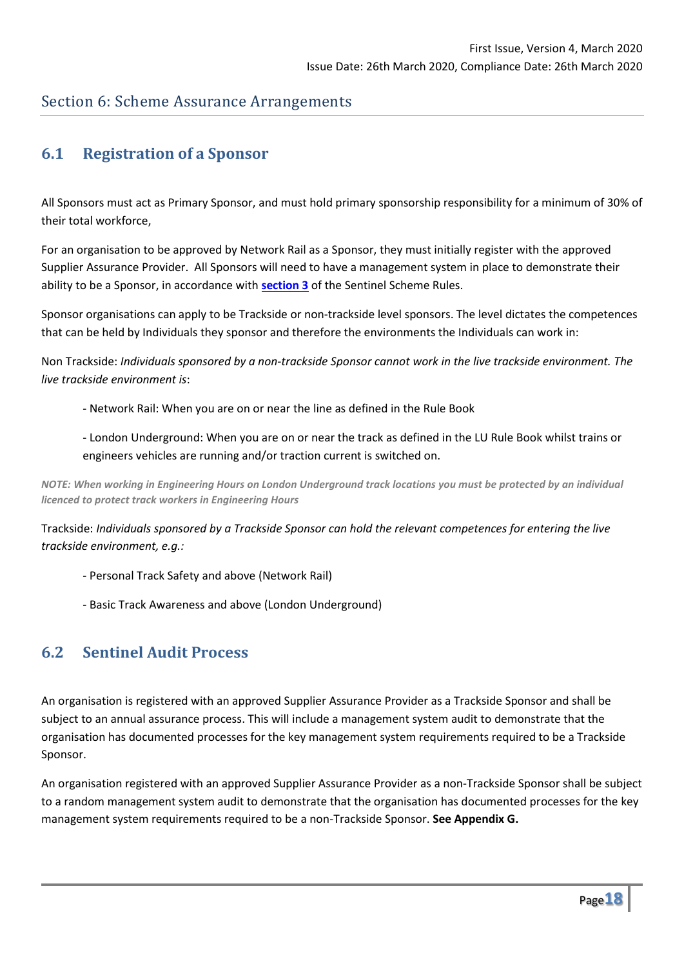## Section 6: Scheme Assurance Arrangements

## <span id="page-17-0"></span>**6.1 Registration of a Sponsor**

All Sponsors must act as Primary Sponsor, and must hold primary sponsorship responsibility for a minimum of 30% of their total workforce,

For an organisation to be approved by Network Rail as a Sponsor, they must initially register with the approved Supplier Assurance Provider. All Sponsors will need to have a management system in place to demonstrate their ability to be a Sponsor, in accordance with **[section 3](#page-6-0)** of the Sentinel Scheme Rules.

Sponsor organisations can apply to be Trackside or non-trackside level sponsors. The level dictates the competences that can be held by Individuals they sponsor and therefore the environments the Individuals can work in:

Non Trackside: *Individuals sponsored by a non-trackside Sponsor cannot work in the live trackside environment. The live trackside environment is*:

- Network Rail: When you are on or near the line as defined in the Rule Book
- London Underground: When you are on or near the track as defined in the LU Rule Book whilst trains or engineers vehicles are running and/or traction current is switched on.

*NOTE: When working in Engineering Hours on London Underground track locations you must be protected by an individual licenced to protect track workers in Engineering Hours*

Trackside: *Individuals sponsored by a Trackside Sponsor can hold the relevant competences for entering the live trackside environment, e.g.:*

- Personal Track Safety and above (Network Rail)
- Basic Track Awareness and above (London Underground)

#### **6.2 Sentinel Audit Process**

An organisation is registered with an approved Supplier Assurance Provider as a Trackside Sponsor and shall be subject to an annual assurance process. This will include a management system audit to demonstrate that the organisation has documented processes for the key management system requirements required to be a Trackside Sponsor.

An organisation registered with an approved Supplier Assurance Provider as a non-Trackside Sponsor shall be subject to a random management system audit to demonstrate that the organisation has documented processes for the key management system requirements required to be a non-Trackside Sponsor. **See Appendix G.**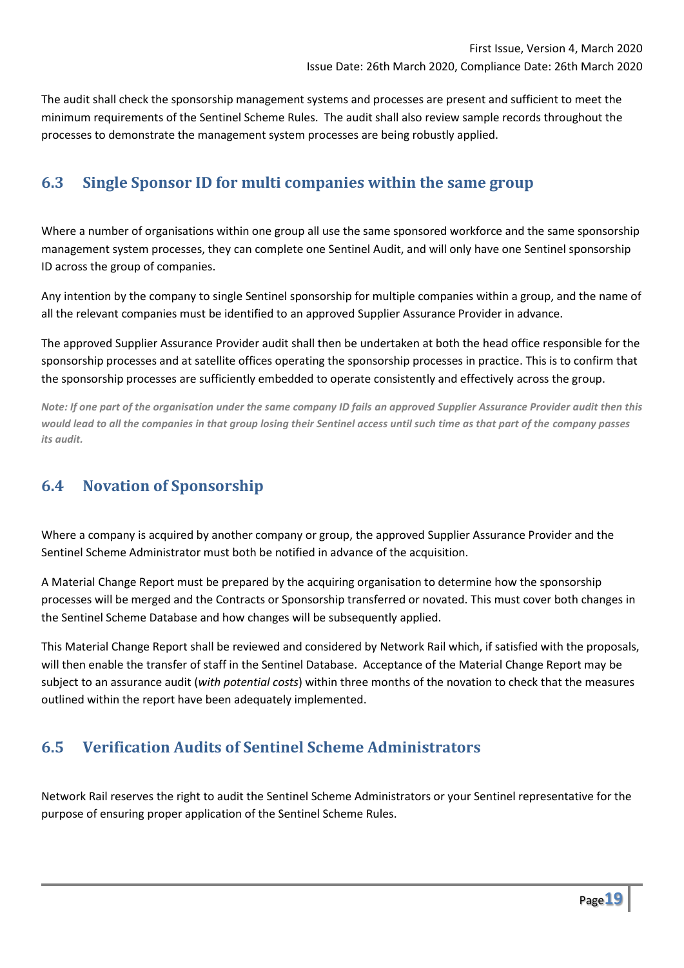The audit shall check the sponsorship management systems and processes are present and sufficient to meet the minimum requirements of the Sentinel Scheme Rules. The audit shall also review sample records throughout the processes to demonstrate the management system processes are being robustly applied.

## **6.3 Single Sponsor ID for multi companies within the same group**

Where a number of organisations within one group all use the same sponsored workforce and the same sponsorship management system processes, they can complete one Sentinel Audit, and will only have one Sentinel sponsorship ID across the group of companies.

Any intention by the company to single Sentinel sponsorship for multiple companies within a group, and the name of all the relevant companies must be identified to an approved Supplier Assurance Provider in advance.

The approved Supplier Assurance Provider audit shall then be undertaken at both the head office responsible for the sponsorship processes and at satellite offices operating the sponsorship processes in practice. This is to confirm that the sponsorship processes are sufficiently embedded to operate consistently and effectively across the group.

*Note: If one part of the organisation under the same company ID fails an approved Supplier Assurance Provider audit then this would lead to all the companies in that group losing their Sentinel access until such time as that part of the company passes its audit.* 

# **6.4 Novation of Sponsorship**

Where a company is acquired by another company or group, the approved Supplier Assurance Provider and the Sentinel Scheme Administrator must both be notified in advance of the acquisition.

A Material Change Report must be prepared by the acquiring organisation to determine how the sponsorship processes will be merged and the Contracts or Sponsorship transferred or novated. This must cover both changes in the Sentinel Scheme Database and how changes will be subsequently applied.

This Material Change Report shall be reviewed and considered by Network Rail which, if satisfied with the proposals, will then enable the transfer of staff in the Sentinel Database. Acceptance of the Material Change Report may be subject to an assurance audit (*with potential costs*) within three months of the novation to check that the measures outlined within the report have been adequately implemented.

# **6.5 Verification Audits of Sentinel Scheme Administrators**

Network Rail reserves the right to audit the Sentinel Scheme Administrators or your Sentinel representative for the purpose of ensuring proper application of the Sentinel Scheme Rules.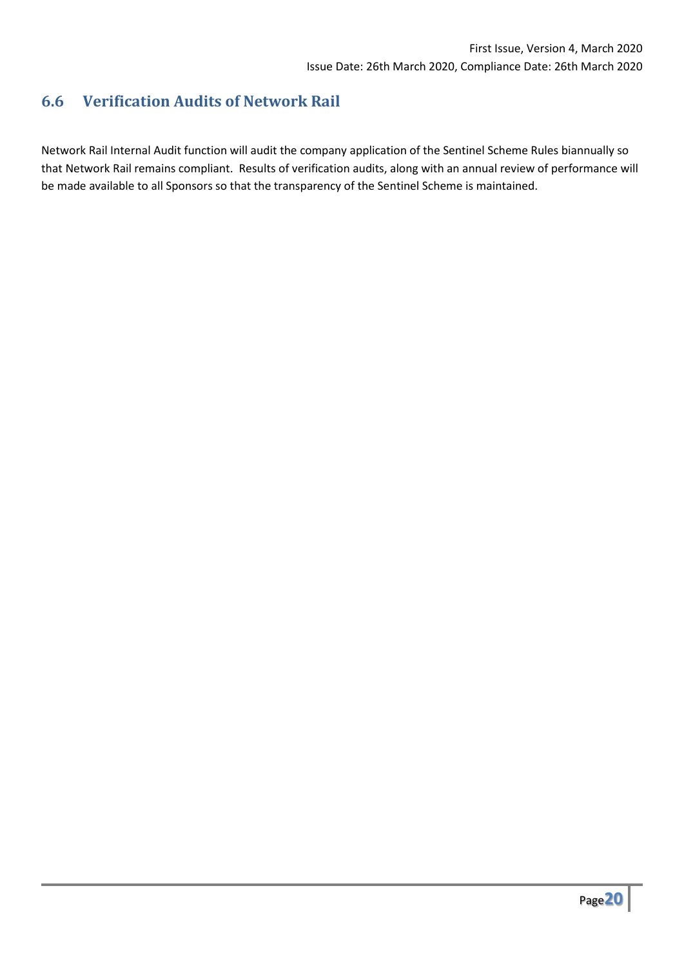# **6.6 Verification Audits of Network Rail**

Network Rail Internal Audit function will audit the company application of the Sentinel Scheme Rules biannually so that Network Rail remains compliant. Results of verification audits, along with an annual review of performance will be made available to all Sponsors so that the transparency of the Sentinel Scheme is maintained.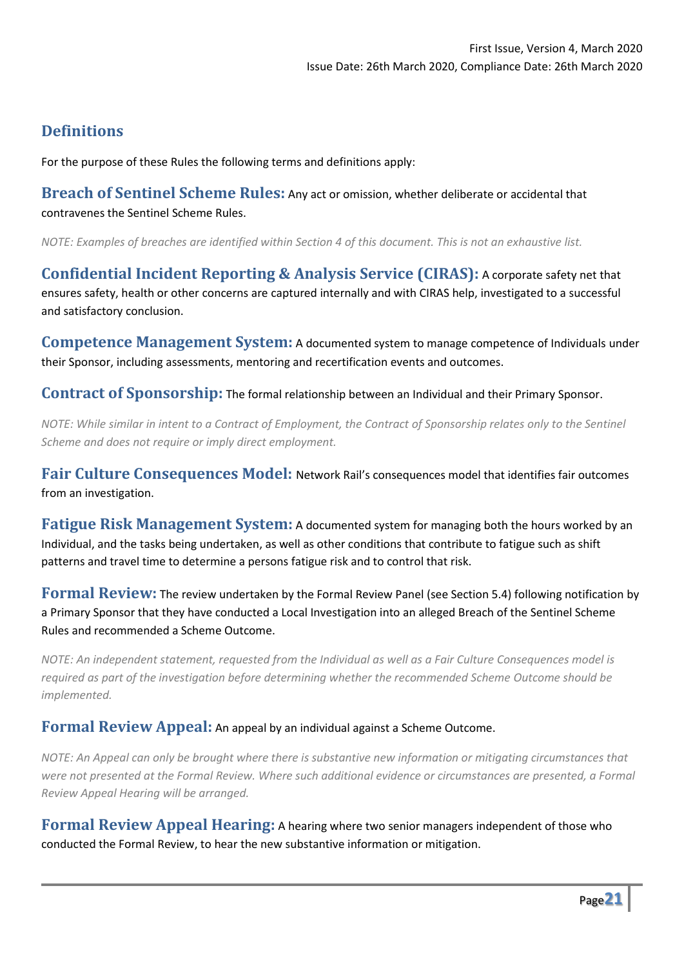# **Definitions**

For the purpose of these Rules the following terms and definitions apply:

**Breach of Sentinel Scheme Rules:** Any act or omission, whether deliberate or accidental that contravenes the Sentinel Scheme Rules.

*NOTE: Examples of breaches are identified within Section 4 of this document. This is not an exhaustive list.*

**Confidential Incident Reporting & Analysis Service (CIRAS):** A corporate safety net that ensures safety, health or other concerns are captured internally and with CIRAS help, investigated to a successful and satisfactory conclusion.

**Competence Management System:** A documented system to manage competence of Individuals under their Sponsor, including assessments, mentoring and recertification events and outcomes.

**Contract of Sponsorship:** The formal relationship between an Individual and their Primary Sponsor.

*NOTE: While similar in intent to a Contract of Employment, the Contract of Sponsorship relates only to the Sentinel Scheme and does not require or imply direct employment.*

**Fair Culture Consequences Model:** Network Rail's consequences model that identifies fair outcomes from an investigation.

**Fatigue Risk Management System:** A documented system for managing both the hours worked by an Individual, and the tasks being undertaken, as well as other conditions that contribute to fatigue such as shift patterns and travel time to determine a persons fatigue risk and to control that risk.

**Formal Review:** The review undertaken by the Formal Review Panel (see Section 5.4) following notification by a Primary Sponsor that they have conducted a Local Investigation into an alleged Breach of the Sentinel Scheme Rules and recommended a Scheme Outcome.

*NOTE: An independent statement, requested from the Individual as well as a Fair Culture Consequences model is required as part of the investigation before determining whether the recommended Scheme Outcome should be implemented.*

#### **Formal Review Appeal:** An appeal by an individual against a Scheme Outcome.

*NOTE: An Appeal can only be brought where there is substantive new information or mitigating circumstances that were not presented at the Formal Review. Where such additional evidence or circumstances are presented, a Formal Review Appeal Hearing will be arranged.*

**Formal Review Appeal Hearing:** A hearing where two senior managers independent of those who conducted the Formal Review, to hear the new substantive information or mitigation.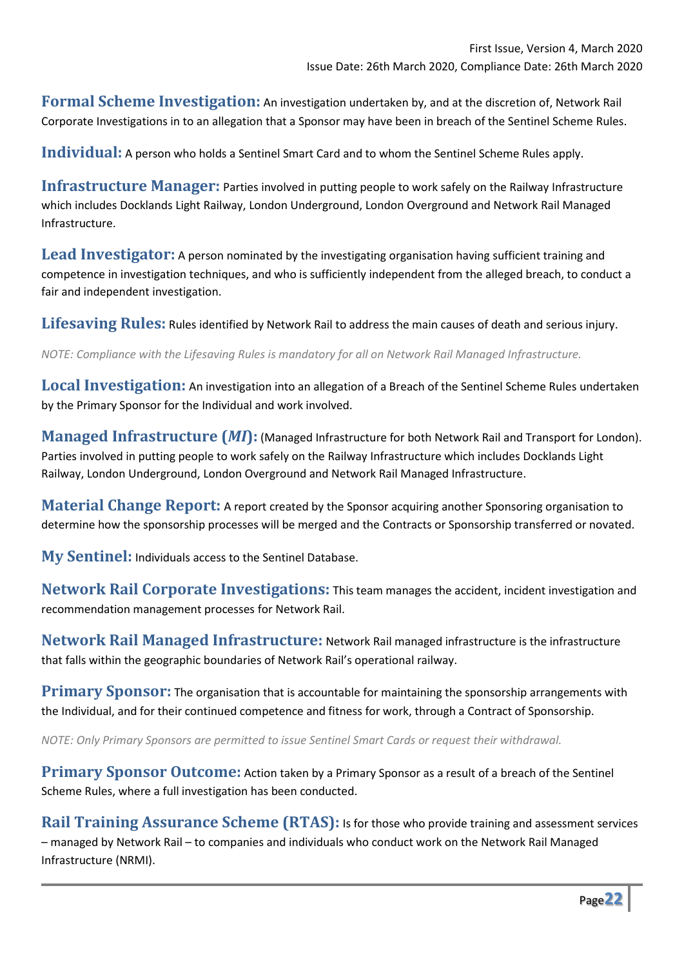**Formal Scheme Investigation:** An investigation undertaken by, and at the discretion of, Network Rail Corporate Investigations in to an allegation that a Sponsor may have been in breach of the Sentinel Scheme Rules.

**Individual:** A person who holds a Sentinel Smart Card and to whom the Sentinel Scheme Rules apply.

**Infrastructure Manager:** Parties involved in putting people to work safely on the Railway Infrastructure which includes Docklands Light Railway, London Underground, London Overground and Network Rail Managed Infrastructure.

Lead Investigator: A person nominated by the investigating organisation having sufficient training and competence in investigation techniques, and who is sufficiently independent from the alleged breach, to conduct a fair and independent investigation.

**Lifesaving Rules:** Rules identified by Network Rail to address the main causes of death and serious injury.

*NOTE: Compliance with the Lifesaving Rules is mandatory for all on Network Rail Managed Infrastructure.*

**Local Investigation:** An investigation into an allegation of a Breach of the Sentinel Scheme Rules undertaken by the Primary Sponsor for the Individual and work involved.

**Managed Infrastructure (***MI***):** (Managed Infrastructure for both Network Rail and Transport for London). Parties involved in putting people to work safely on the Railway Infrastructure which includes Docklands Light Railway, London Underground, London Overground and Network Rail Managed Infrastructure.

**Material Change Report:** A report created by the Sponsor acquiring another Sponsoring organisation to determine how the sponsorship processes will be merged and the Contracts or Sponsorship transferred or novated.

**My Sentinel:** Individuals access to the Sentinel Database.

**Network Rail Corporate Investigations:** This team manages the accident, incident investigation and recommendation management processes for Network Rail.

**Network Rail Managed Infrastructure:** Network Rail managed infrastructure is the infrastructure that falls within the geographic boundaries of Network Rail's operational railway.

**Primary Sponsor:** The organisation that is accountable for maintaining the sponsorship arrangements with the Individual, and for their continued competence and fitness for work, through a Contract of Sponsorship.

*NOTE: Only Primary Sponsors are permitted to issue Sentinel Smart Cards or request their withdrawal.*

**Primary Sponsor Outcome:** Action taken by a Primary Sponsor as a result of a breach of the Sentinel Scheme Rules, where a full investigation has been conducted.

**Rail Training Assurance Scheme (RTAS):** Is for those who provide training and assessment services – managed by Network Rail – to companies and individuals who conduct work on the Network Rail Managed Infrastructure (NRMI).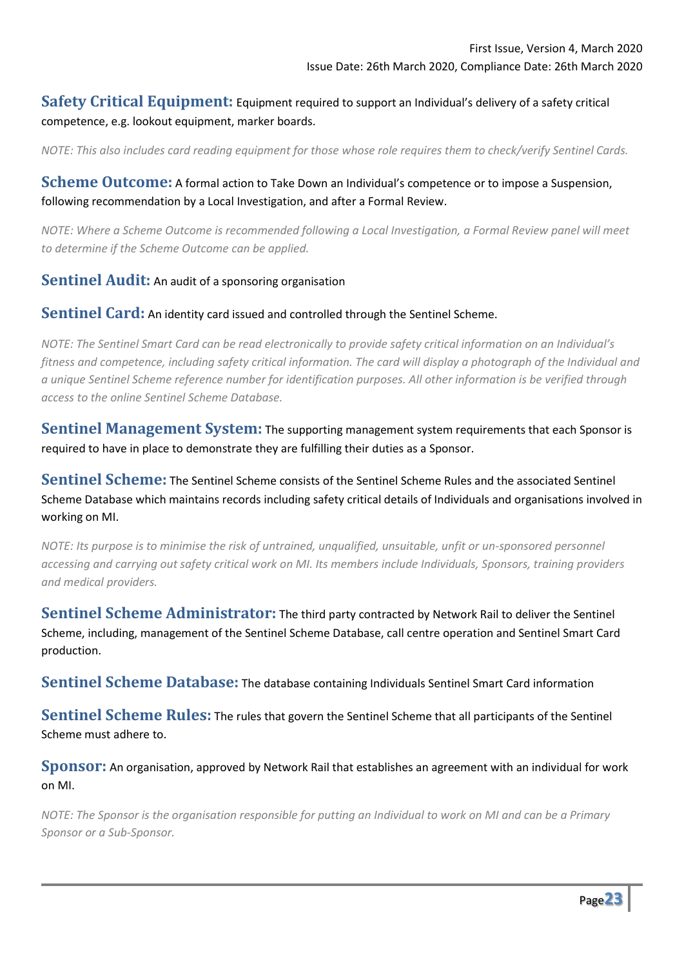#### **Safety Critical Equipment:** Equipment required to support an Individual's delivery of a safety critical competence, e.g. lookout equipment, marker boards.

*NOTE: This also includes card reading equipment for those whose role requires them to check/verify Sentinel Cards.*

#### **Scheme Outcome:** A formal action to Take Down an Individual's competence or to impose a Suspension, following recommendation by a Local Investigation, and after a Formal Review.

*NOTE: Where a Scheme Outcome is recommended following a Local Investigation, a Formal Review panel will meet to determine if the Scheme Outcome can be applied.*

#### **Sentinel Audit:** An audit of a sponsoring organisation

#### **Sentinel Card:** An identity card issued and controlled through the Sentinel Scheme.

*NOTE: The Sentinel Smart Card can be read electronically to provide safety critical information on an Individual's fitness and competence, including safety critical information. The card will display a photograph of the Individual and a unique Sentinel Scheme reference number for identification purposes. All other information is be verified through access to the online Sentinel Scheme Database.*

**Sentinel Management System:** The supporting management system requirements that each Sponsor is required to have in place to demonstrate they are fulfilling their duties as a Sponsor.

**Sentinel Scheme:** The Sentinel Scheme consists of the Sentinel Scheme Rules and the associated Sentinel Scheme Database which maintains records including safety critical details of Individuals and organisations involved in working on MI.

*NOTE: Its purpose is to minimise the risk of untrained, unqualified, unsuitable, unfit or un-sponsored personnel accessing and carrying out safety critical work on MI. Its members include Individuals, Sponsors, training providers and medical providers.*

**Sentinel Scheme Administrator:** The third party contracted by Network Rail to deliver the Sentinel Scheme, including, management of the Sentinel Scheme Database, call centre operation and Sentinel Smart Card production.

**Sentinel Scheme Database:** The database containing Individuals Sentinel Smart Card information

**Sentinel Scheme Rules:** The rules that govern the Sentinel Scheme that all participants of the Sentinel Scheme must adhere to.

**Sponsor:** An organisation, approved by Network Rail that establishes an agreement with an individual for work on MI.

*NOTE: The Sponsor is the organisation responsible for putting an Individual to work on MI and can be a Primary Sponsor or a Sub-Sponsor.*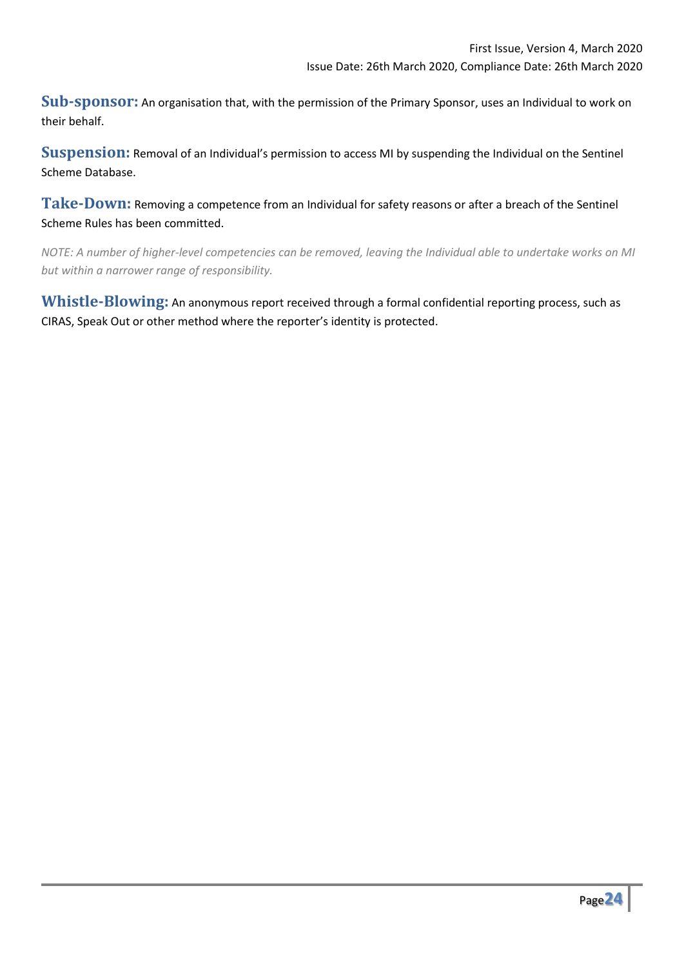**Sub-sponsor:** An organisation that, with the permission of the Primary Sponsor, uses an Individual to work on their behalf.

**Suspension:** Removal of an Individual's permission to access MI by suspending the Individual on the Sentinel Scheme Database.

**Take-Down:** Removing a competence from an Individual for safety reasons or after a breach of the Sentinel Scheme Rules has been committed.

*NOTE: A number of higher-level competencies can be removed, leaving the Individual able to undertake works on MI but within a narrower range of responsibility.*

**Whistle-Blowing:** An anonymous report received through a formal confidential reporting process, such as CIRAS, Speak Out or other method where the reporter's identity is protected.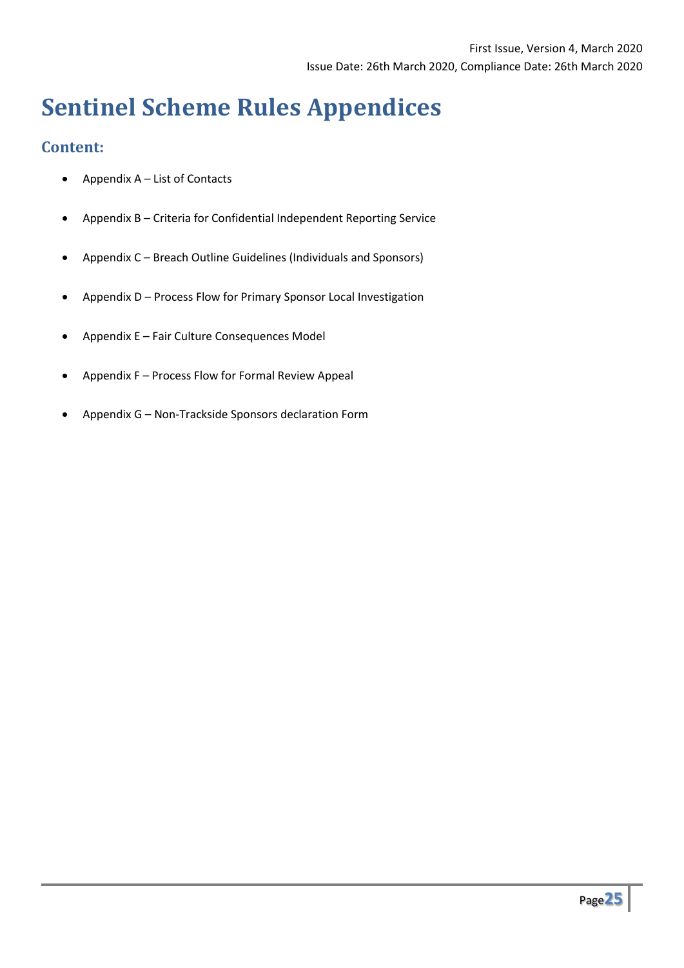# **Sentinel Scheme Rules Appendices**

#### **Content:**

- Appendix A List of Contacts
- Appendix B Criteria for Confidential Independent Reporting Service
- Appendix C Breach Outline Guidelines (Individuals and Sponsors)
- Appendix D Process Flow for Primary Sponsor Local Investigation
- Appendix E Fair Culture Consequences Model
- Appendix F Process Flow for Formal Review Appeal
- Appendix G Non-Trackside Sponsors declaration Form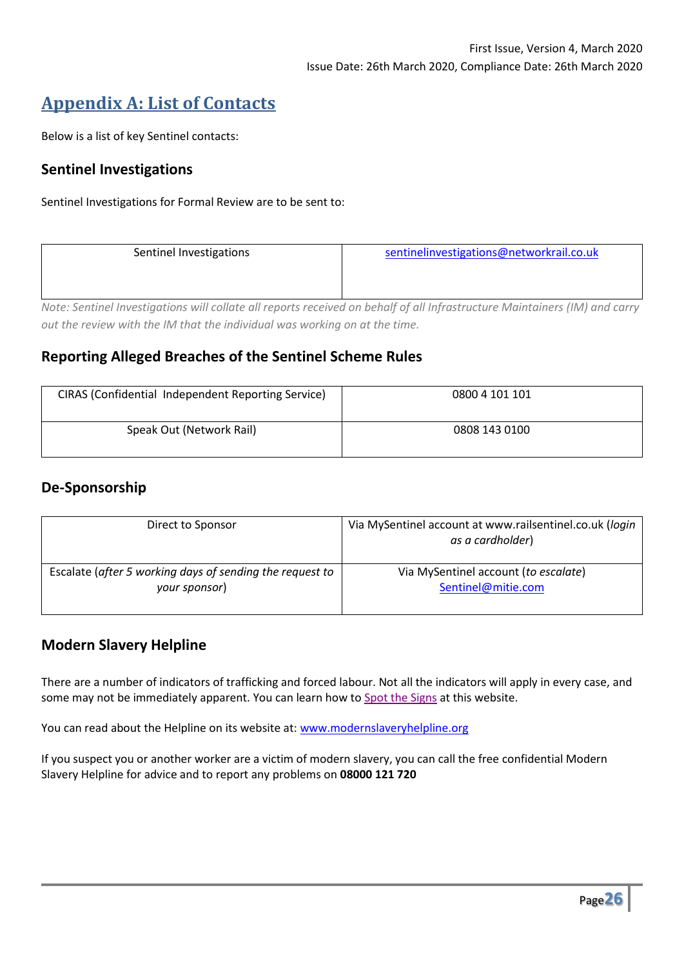# **Appendix A: List of Contacts**

Below is a list of key Sentinel contacts:

#### **Sentinel Investigations**

Sentinel Investigations for Formal Review are to be sent to:

| Sentinel Investigations | sentinelinvestigations@networkrail.co.uk                                                                                   |  |  |  |  |
|-------------------------|----------------------------------------------------------------------------------------------------------------------------|--|--|--|--|
|                         |                                                                                                                            |  |  |  |  |
|                         |                                                                                                                            |  |  |  |  |
|                         | Note: Centinal Investigations will collate all reports resolved on behalf of all Infrastructure Maintainers (IM) and sarry |  |  |  |  |

*Note: Sentinel Investigations will collate all reports received on behalf of all Infrastructure Maintainers (IM) and carry out the review with the IM that the individual was working on at the time.*

#### **Reporting Alleged Breaches of the Sentinel Scheme Rules**

| <b>CIRAS (Confidential Independent Reporting Service)</b> | 0800 4 101 101 |
|-----------------------------------------------------------|----------------|
| Speak Out (Network Rail)                                  | 0808 143 0100  |

#### **De-Sponsorship**

| Direct to Sponsor                                        | Via MySentinel account at www.railsentinel.co.uk (login<br>as a cardholder) |  |  |
|----------------------------------------------------------|-----------------------------------------------------------------------------|--|--|
| Escalate (after 5 working days of sending the request to | Via MySentinel account (to escalate)                                        |  |  |
| your sponsor)                                            | Sentinel@mitie.com                                                          |  |  |

#### **Modern Slavery Helpline**

There are a number of indicators of trafficking and forced labour. Not all the indicators will apply in every case, and some may not be immediately apparent. You can learn how to [Spot the Signs](https://www.gla.gov.uk/who-we-are/modern-slavery/who-we-are-modern-slavery-spot-the-signs/) at this website.

You can read about the Helpline on its website at: [www.modernslaveryhelpline.org](http://www.modernslaveryhelpline.org/)

If you suspect you or another worker are a victim of modern slavery, you can call the free confidential Modern Slavery Helpline for advice and to report any problems on **08000 121 720**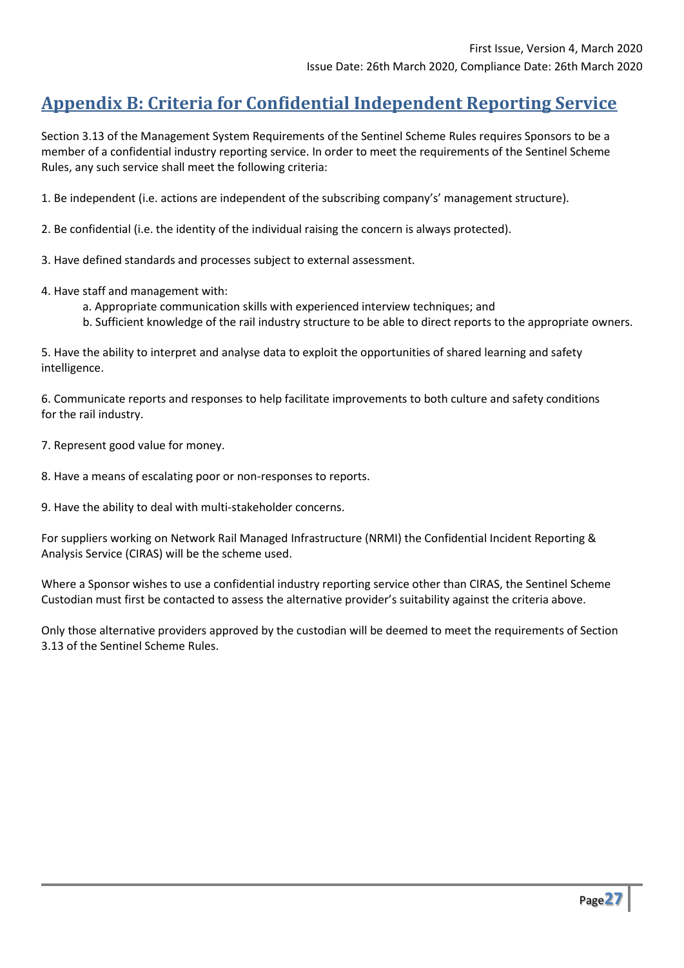# **Appendix B: Criteria for Confidential Independent Reporting Service**

Section 3.13 of the Management System Requirements of the Sentinel Scheme Rules requires Sponsors to be a member of a confidential industry reporting service. In order to meet the requirements of the Sentinel Scheme Rules, any such service shall meet the following criteria:

1. Be independent (i.e. actions are independent of the subscribing company's' management structure).

2. Be confidential (i.e. the identity of the individual raising the concern is always protected).

3. Have defined standards and processes subject to external assessment.

- 4. Have staff and management with:
	- a. Appropriate communication skills with experienced interview techniques; and
	- b. Sufficient knowledge of the rail industry structure to be able to direct reports to the appropriate owners.

5. Have the ability to interpret and analyse data to exploit the opportunities of shared learning and safety intelligence.

6. Communicate reports and responses to help facilitate improvements to both culture and safety conditions for the rail industry.

7. Represent good value for money.

8. Have a means of escalating poor or non-responses to reports.

9. Have the ability to deal with multi-stakeholder concerns.

For suppliers working on Network Rail Managed Infrastructure (NRMI) the Confidential Incident Reporting & Analysis Service (CIRAS) will be the scheme used.

Where a Sponsor wishes to use a confidential industry reporting service other than CIRAS, the Sentinel Scheme Custodian must first be contacted to assess the alternative provider's suitability against the criteria above.

Only those alternative providers approved by the custodian will be deemed to meet the requirements of Section 3.13 of the Sentinel Scheme Rules.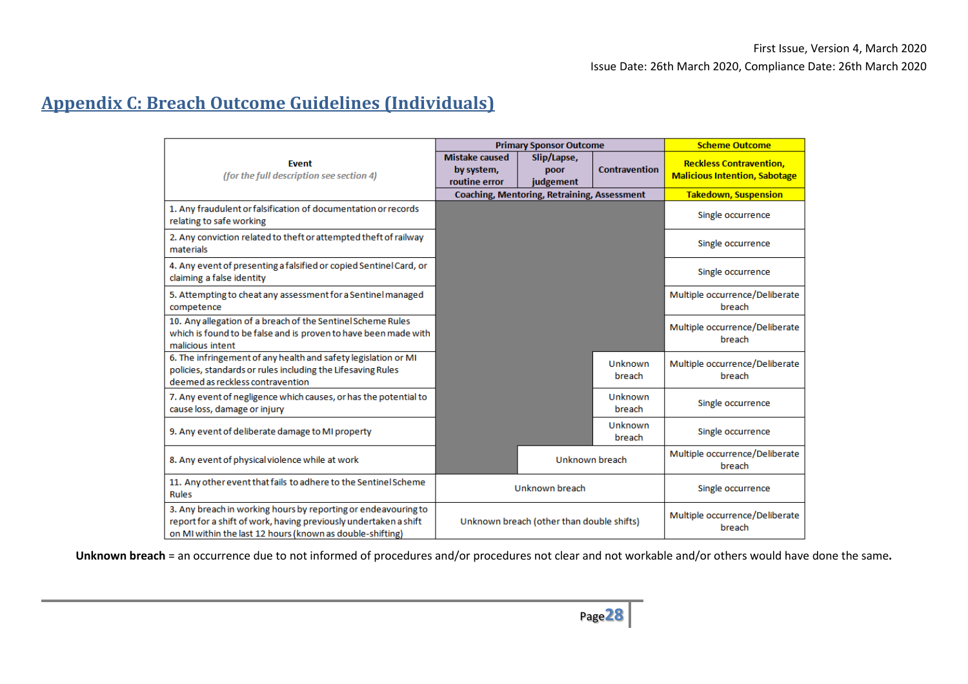# **Appendix C: Breach Outcome Guidelines (Individuals)**

|                                                                                                                                                                                                 | <b>Primary Sponsor Outcome</b>                       |                                                    |                                          | <b>Scheme Outcome</b>                                                  |
|-------------------------------------------------------------------------------------------------------------------------------------------------------------------------------------------------|------------------------------------------------------|----------------------------------------------------|------------------------------------------|------------------------------------------------------------------------|
| <b>Event</b><br>(for the full description see section 4)                                                                                                                                        | <b>Mistake caused</b><br>by system,<br>routine error | Slip/Lapse,<br>poor<br>judgement                   | <b>Contravention</b>                     | <b>Reckless Contravention,</b><br><b>Malicious Intention, Sabotage</b> |
|                                                                                                                                                                                                 |                                                      | <b>Coaching, Mentoring, Retraining, Assessment</b> |                                          | <b>Takedown, Suspension</b>                                            |
| 1. Any fraudulent or falsification of documentation or records<br>relating to safe working                                                                                                      |                                                      |                                                    |                                          | Single occurrence                                                      |
| 2. Any conviction related to theft or attempted theft of railway<br>materials                                                                                                                   |                                                      |                                                    |                                          | Single occurrence                                                      |
| 4. Any event of presenting a falsified or copied Sentinel Card, or<br>claiming a false identity                                                                                                 |                                                      |                                                    |                                          | Single occurrence                                                      |
| 5. Attempting to cheat any assessment for a Sentinel managed<br>competence                                                                                                                      |                                                      |                                                    |                                          | Multiple occurrence/Deliberate<br>breach                               |
| 10. Any allegation of a breach of the Sentinel Scheme Rules<br>which is found to be false and is proven to have been made with<br>malicious intent                                              |                                                      |                                                    |                                          | Multiple occurrence/Deliberate<br>breach                               |
| 6. The infringement of any health and safety legislation or MI<br>policies, standards or rules including the Lifesaving Rules<br>deemed as reckless contravention                               |                                                      |                                                    | Unknown<br>breach                        | Multiple occurrence/Deliberate<br>breach                               |
| 7. Any event of negligence which causes, or has the potential to<br>cause loss, damage or injury                                                                                                |                                                      |                                                    | Unknown<br>breach                        | Single occurrence                                                      |
| 9. Any event of deliberate damage to MI property                                                                                                                                                |                                                      |                                                    | Unknown<br>breach                        | Single occurrence                                                      |
| 8. Any event of physical violence while at work                                                                                                                                                 | Unknown breach                                       |                                                    | Multiple occurrence/Deliberate<br>breach |                                                                        |
| 11. Any other event that fails to adhere to the Sentinel Scheme<br><b>Rules</b>                                                                                                                 | Unknown breach                                       |                                                    | Single occurrence                        |                                                                        |
| 3. Any breach in working hours by reporting or endeavouring to<br>report for a shift of work, having previously undertaken a shift<br>on MI within the last 12 hours (known as double-shifting) | Unknown breach (other than double shifts)            |                                                    | Multiple occurrence/Deliberate<br>breach |                                                                        |

**Unknown breach** = an occurrence due to not informed of procedures and/or procedures not clear and not workable and/or others would have done the same.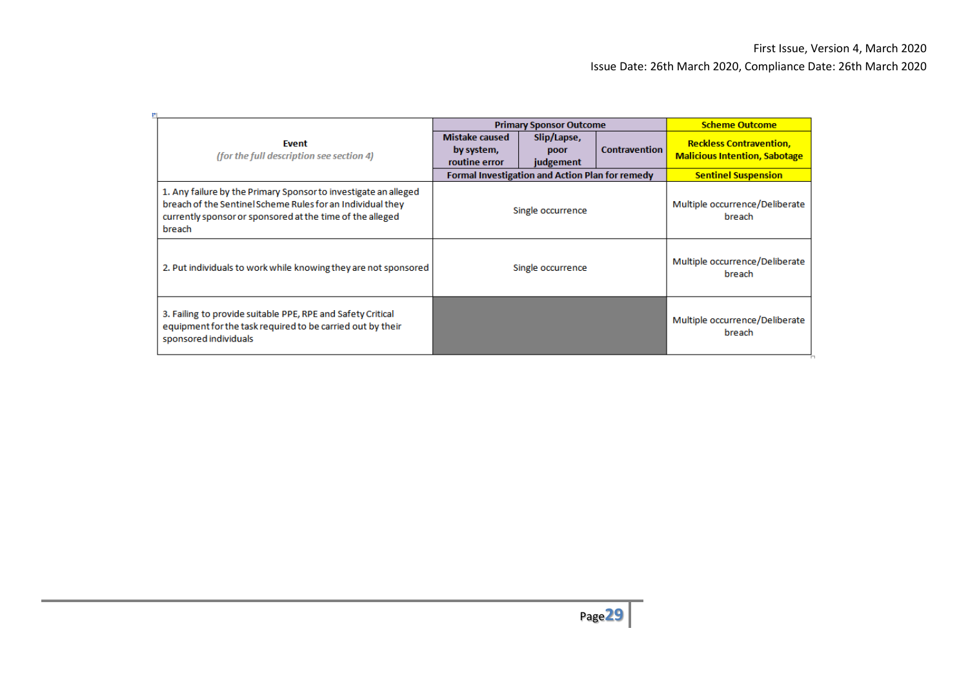|                                                                                                                                                                                                      | <b>Primary Sponsor Outcome</b>                         |                                  |                      | <b>Scheme Outcome</b>                                                  |
|------------------------------------------------------------------------------------------------------------------------------------------------------------------------------------------------------|--------------------------------------------------------|----------------------------------|----------------------|------------------------------------------------------------------------|
| Event<br>(for the full description see section 4)                                                                                                                                                    | <b>Mistake caused</b><br>by system,<br>routine error   | Slip/Lapse,<br>poor<br>judgement | <b>Contravention</b> | <b>Reckless Contravention.</b><br><b>Malicious Intention, Sabotage</b> |
|                                                                                                                                                                                                      | <b>Formal Investigation and Action Plan for remedy</b> |                                  |                      | <b>Sentinel Suspension</b>                                             |
| 1. Any failure by the Primary Sponsor to investigate an alleged<br>breach of the Sentinel Scheme Rules for an Individual they<br>currently sponsor or sponsored at the time of the alleged<br>breach | Single occurrence                                      |                                  |                      | Multiple occurrence/Deliberate<br>breach                               |
| 2. Put individuals to work while knowing they are not sponsored                                                                                                                                      | Single occurrence                                      |                                  |                      | Multiple occurrence/Deliberate<br>breach                               |
| 3. Failing to provide suitable PPE, RPE and Safety Critical<br>equipment for the task required to be carried out by their<br>sponsored individuals                                                   |                                                        |                                  |                      | Multiple occurrence/Deliberate<br>breach                               |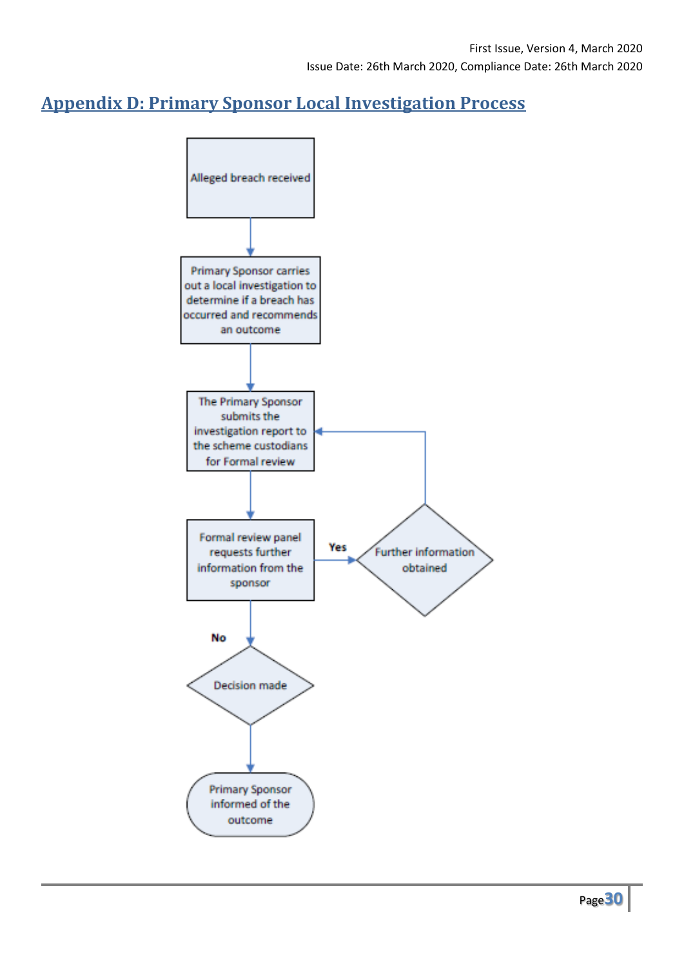# **Appendix D: Primary Sponsor Local Investigation Process**

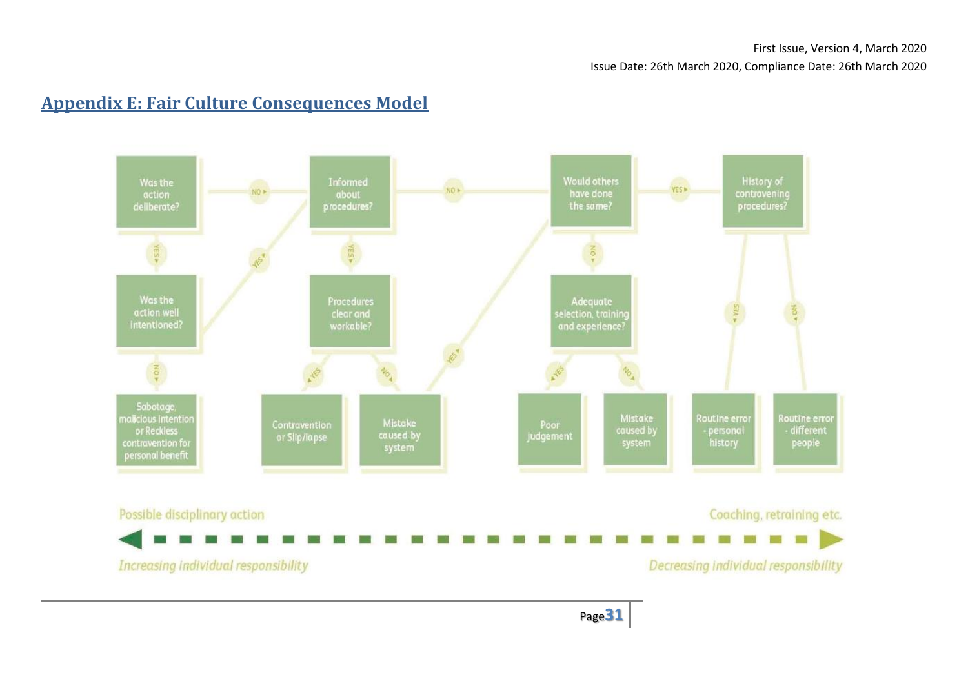# **Appendix E: Fair Culture Consequences Model**

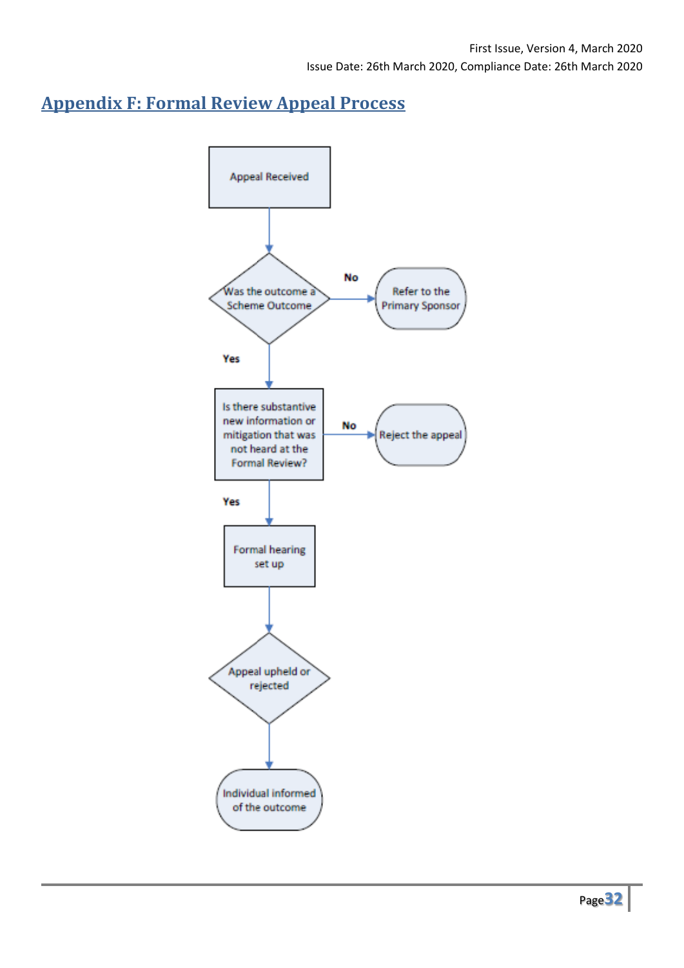# **Appendix F: Formal Review Appeal Process**